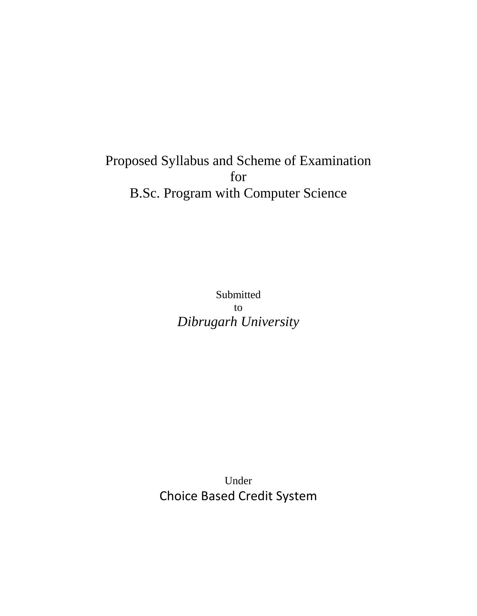# Proposed Syllabus and Scheme of Examination for B.Sc. Program with Computer Science

Submitted to *Dibrugarh University*

Under Choice Based Credit System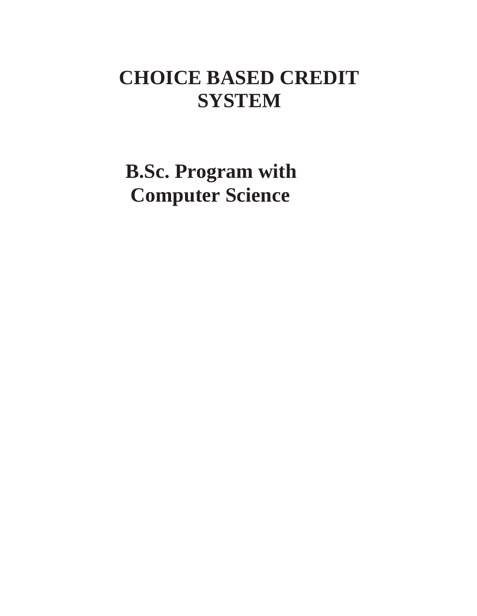# **CHOICE BASED CREDIT SYSTEM**

**B.Sc. Program with Computer Science**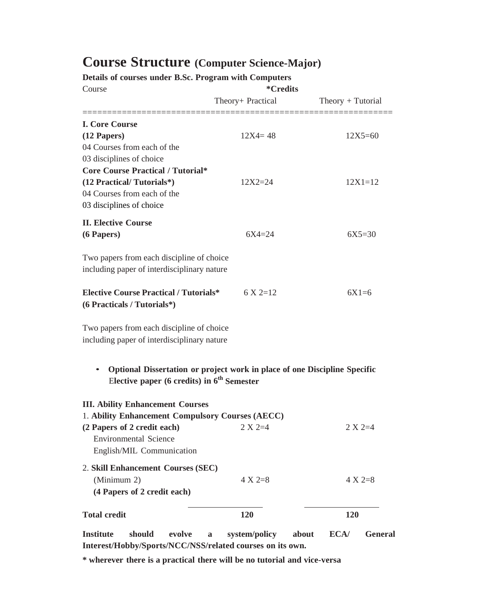# **Course Structure (Computer Science-Major)**

**Details of courses under B.Sc. Program with Computers**

| Course                                                                                                                                 | <i>*</i> Credits  |                     |
|----------------------------------------------------------------------------------------------------------------------------------------|-------------------|---------------------|
|                                                                                                                                        | Theory+ Practical | $Theory + Tutorial$ |
| <b>I. Core Course</b>                                                                                                                  |                   |                     |
| $(12$ Papers)                                                                                                                          | $12X4 = 48$       | $12X5 = 60$         |
| 04 Courses from each of the                                                                                                            |                   |                     |
| 03 disciplines of choice                                                                                                               |                   |                     |
| <b>Core Course Practical / Tutorial*</b>                                                                                               |                   |                     |
| (12 Practical/Tutorials*)                                                                                                              | $12X2 = 24$       | $12X1 = 12$         |
| 04 Courses from each of the                                                                                                            |                   |                     |
| 03 disciplines of choice                                                                                                               |                   |                     |
| <b>II. Elective Course</b>                                                                                                             |                   |                     |
| (6 Papers)                                                                                                                             | $6X4 = 24$        | $6X5 = 30$          |
| Two papers from each discipline of choice<br>including paper of interdisciplinary nature                                               |                   |                     |
| <b>Elective Course Practical / Tutorials*</b><br>(6 Practicals / Tutorials*)                                                           | $6 \times 2=12$   | $6X1=6$             |
| Two papers from each discipline of choice<br>including paper of interdisciplinary nature                                               |                   |                     |
| Optional Dissertation or project work in place of one Discipline Specific<br>$\bullet$<br>Elective paper (6 credits) in $6th$ Semester |                   |                     |
| <b>III. Ability Enhancement Courses</b><br>1. Ability Enhancement Compulsory Courses (AECC)                                            |                   |                     |
| (2 Papers of 2 credit each)                                                                                                            | $2 X 2=4$         | $2 X 2=4$           |
| <b>Environmental Science</b>                                                                                                           |                   |                     |
| English/MIL Communication                                                                                                              |                   |                     |
|                                                                                                                                        |                   |                     |
| 2. Skill Enhancement Courses (SEC)                                                                                                     |                   |                     |
| (Minimum 2)                                                                                                                            | $4 X 2=8$         | $4 \times 2=8$      |
| (4 Papers of 2 credit each)                                                                                                            |                   |                     |
| <b>Total credit</b>                                                                                                                    | 120               | 120                 |
|                                                                                                                                        |                   |                     |

**Institute should evolve a system/policy about ECA/ General Interest/Hobby/Sports/NCC/NSS/related courses on its own.**

**\* wherever there is a practical there will be no tutorial and vice-versa**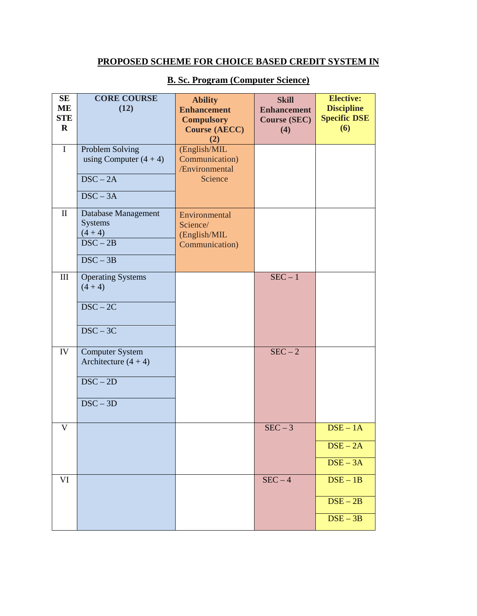# **PROPOSED SCHEME FOR CHOICE BASED CREDIT SYSTEM IN**

| <b>SE</b><br>ME           | <b>CORE COURSE</b><br>(12)                                                                              | <b>Ability</b><br><b>Enhancement</b>                        | <b>Skill</b><br><b>Enhancement</b> | <b>Elective:</b><br><b>Discipline</b>                           |
|---------------------------|---------------------------------------------------------------------------------------------------------|-------------------------------------------------------------|------------------------------------|-----------------------------------------------------------------|
| <b>STE</b><br>$\mathbf R$ |                                                                                                         | <b>Compulsory</b><br><b>Course (AECC)</b><br>(2)            | <b>Course (SEC)</b><br>(4)         | <b>Specific DSE</b><br>(6)                                      |
| $\mathbf I$               | Problem Solving<br>using Computer $(4 + 4)$                                                             | (English/MIL<br>Communication)<br>/Environmental            |                                    |                                                                 |
|                           | $\overline{\text{DSC} - 2\text{A}}$<br>$DSC - 3A$                                                       | Science                                                     |                                    |                                                                 |
| $\mathbf{I}$              | Database Management<br><b>Systems</b><br>$(4 + 4)$<br>$\overline{\text{DSC} - 2\text{B}}$<br>$DSC - 3B$ | Environmental<br>Science/<br>(English/MIL<br>Communication) |                                    |                                                                 |
| III                       | <b>Operating Systems</b><br>$(4 + 4)$<br>$\overline{\text{DSC} - 2C}$<br>$DSC - 3C$                     |                                                             | $SEC - 1$                          |                                                                 |
| IV                        | <b>Computer System</b><br>Architecture $(4 + 4)$<br>$DSC - 2D$<br>$DSC - 3D$                            |                                                             | $SEC-2$                            |                                                                 |
| V                         |                                                                                                         |                                                             | $SEC-3$                            | $DSE - 1A$<br>$DSE - 2A$<br>$\overline{\text{DSE} - 3\text{A}}$ |
| VI                        |                                                                                                         |                                                             | $SEC-4$                            | $\overline{\text{DSE} - 1\text{B}}$<br>$DSE - 2B$<br>$DSE - 3B$ |

## **B. Sc. Program (Computer Science)**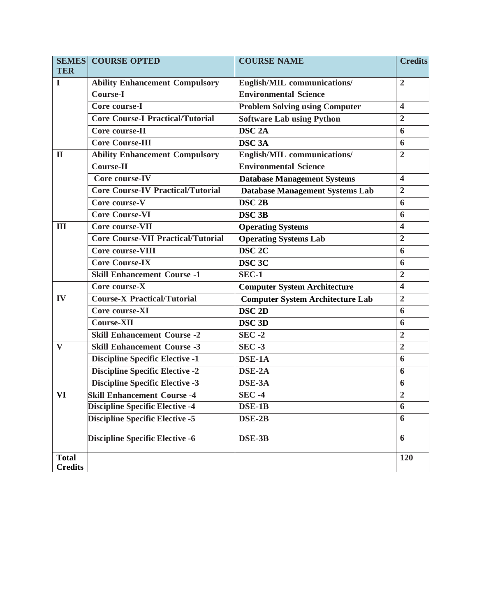|                                | <b>SEMES COURSE OPTED</b>                 | <b>COURSE NAME</b>                      | <b>Credits</b>          |
|--------------------------------|-------------------------------------------|-----------------------------------------|-------------------------|
| <b>TER</b>                     |                                           |                                         |                         |
| I                              | <b>Ability Enhancement Compulsory</b>     | English/MIL communications/             | $\overline{2}$          |
|                                | <b>Course-I</b>                           | <b>Environmental Science</b>            |                         |
|                                | Core course-I                             | <b>Problem Solving using Computer</b>   | $\overline{\mathbf{4}}$ |
|                                | <b>Core Course-I Practical/Tutorial</b>   | <b>Software Lab using Python</b>        | $\overline{2}$          |
|                                | Core course-II                            | DSC <sub>2A</sub>                       | 6                       |
|                                | <b>Core Course-III</b>                    | <b>DSC 3A</b>                           | 6                       |
| $\mathbf{I}$                   | <b>Ability Enhancement Compulsory</b>     | English/MIL communications/             | $\overline{2}$          |
|                                | <b>Course-II</b>                          | <b>Environmental Science</b>            |                         |
|                                | Core course-IV                            | <b>Database Management Systems</b>      | $\overline{\mathbf{4}}$ |
|                                | <b>Core Course-IV Practical/Tutorial</b>  | <b>Database Management Systems Lab</b>  | $\overline{2}$          |
|                                | Core course-V                             | DSC <sub>2B</sub>                       | 6                       |
|                                | <b>Core Course-VI</b>                     | DSC <sub>3B</sub>                       | 6                       |
| Ш                              | Core course-VII                           | <b>Operating Systems</b>                | $\overline{\mathbf{4}}$ |
|                                | <b>Core Course-VII Practical/Tutorial</b> | <b>Operating Systems Lab</b>            | $\overline{2}$          |
|                                | <b>Core course-VIII</b>                   | DSC <sub>2C</sub>                       | 6                       |
|                                | <b>Core Course-IX</b>                     | DSC <sub>3C</sub>                       | 6                       |
|                                | <b>Skill Enhancement Course -1</b>        | $SEC-1$                                 | $\overline{2}$          |
|                                | Core course-X                             | <b>Computer System Architecture</b>     | $\overline{\mathbf{4}}$ |
| IV                             | <b>Course-X Practical/Tutorial</b>        | <b>Computer System Architecture Lab</b> | $\overline{2}$          |
|                                | Core course-XI                            | DSC <sub>2D</sub>                       | 6                       |
|                                | <b>Course-XII</b>                         | DSC <sub>3D</sub>                       | 6                       |
|                                | <b>Skill Enhancement Course -2</b>        | $SEC -2$                                | $\overline{2}$          |
| $\bf{V}$                       | <b>Skill Enhancement Course -3</b>        | SEC.3                                   | $\overline{2}$          |
|                                | <b>Discipline Specific Elective -1</b>    | DSE-1A                                  | 6                       |
|                                | <b>Discipline Specific Elective -2</b>    | DSE-2A                                  | 6                       |
|                                | <b>Discipline Specific Elective -3</b>    | DSE-3A                                  | 6                       |
| VI                             | <b>Skill Enhancement Course -4</b>        | <b>SEC -4</b>                           | $\overline{2}$          |
|                                | <b>Discipline Specific Elective -4</b>    | DSE-1B                                  | 6                       |
|                                | <b>Discipline Specific Elective -5</b>    | DSE-2B                                  | 6                       |
|                                | <b>Discipline Specific Elective -6</b>    | DSE-3B                                  | 6                       |
| <b>Total</b><br><b>Credits</b> |                                           |                                         | 120                     |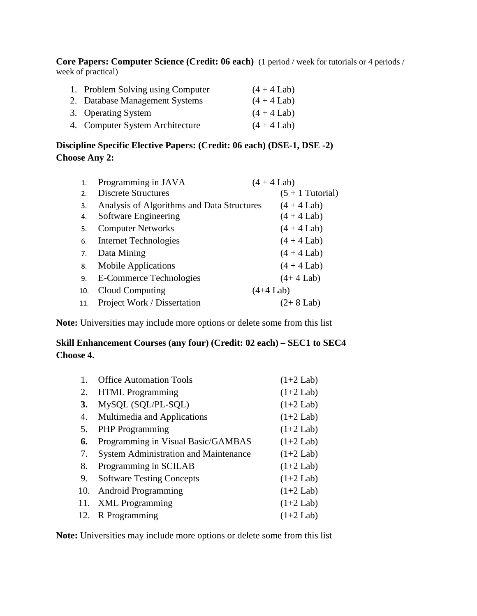**Core Papers: Computer Science (Credit: 06 each)** (1 period / week for tutorials or 4 periods / week of practical)

| 1. Problem Solving using Computer | $(4 + 4$ Lab) |
|-----------------------------------|---------------|
| 2. Database Management Systems    | $(4 + 4$ Lab) |
| 3. Operating System               | $(4 + 4$ Lab) |
| 4. Computer System Architecture   | $(4 + 4$ Lab) |

#### **Discipline Specific Elective Papers: (Credit: 06 each) (DSE-1, DSE -2) Choose Any 2:**

| 1.  | Programming in JAVA                        | $(4 + 4$ Lab)      |
|-----|--------------------------------------------|--------------------|
| 2.  | <b>Discrete Structures</b>                 | $(5 + 1)$ Tutorial |
| 3.  | Analysis of Algorithms and Data Structures | $(4 + 4$ Lab)      |
| 4.  | Software Engineering                       | $(4 + 4$ Lab)      |
| 5.  | <b>Computer Networks</b>                   | $(4 + 4$ Lab)      |
| 6.  | <b>Internet Technologies</b>               | $(4 + 4$ Lab)      |
| 7.  | Data Mining                                | $(4 + 4$ Lab)      |
| 8.  | <b>Mobile Applications</b>                 | $(4 + 4$ Lab)      |
| 9.  | E-Commerce Technologies                    | $(4+4$ Lab)        |
| 10. | Cloud Computing                            | $(4+4$ Lab)        |
| 11. | Project Work / Dissertation                | $(2+8$ Lab)        |

**Note:** Universities may include more options or delete some from this list

#### **Skill Enhancement Courses (any four) (Credit: 02 each) – SEC1 to SEC4 Choose 4.**

|     | <b>Office Automation Tools</b>               | $(1+2$ Lab) |
|-----|----------------------------------------------|-------------|
| 2.  | <b>HTML</b> Programming                      | $(1+2$ Lab) |
| 3.  | MySQL (SQL/PL-SQL)                           | $(1+2$ Lab) |
| 4.  | Multimedia and Applications                  | $(1+2$ Lab) |
| 5.  | <b>PHP</b> Programming                       | $(1+2$ Lab) |
| 6.  | Programming in Visual Basic/GAMBAS           | $(1+2$ Lab) |
| 7.  | <b>System Administration and Maintenance</b> | $(1+2$ Lab) |
| 8.  | Programming in SCILAB                        | $(1+2$ Lab) |
| 9.  | <b>Software Testing Concepts</b>             | $(1+2$ Lab) |
| 10. | <b>Android Programming</b>                   | $(1+2$ Lab) |
| 11. | <b>XML</b> Programming                       | $(1+2$ Lab) |
| 12. | R Programming                                | $(1+2$ Lab) |

**Note:** Universities may include more options or delete some from this list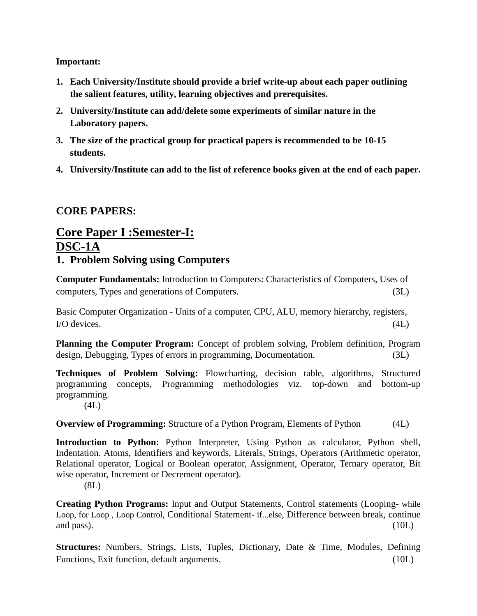**Important:**

- **1. Each University/Institute should provide a brief write-up about each paper outlining the salient features, utility, learning objectives and prerequisites.**
- **2. University/Institute can add/delete some experiments of similar nature in the Laboratory papers.**
- **3. The size of the practical group for practical papers is recommended to be 10-15 students.**
- **4. University/Institute can add to the list of reference books given at the end of each paper.**

# **CORE PAPERS:**

# **Core Paper I :Semester-I: DSC-1A 1. Problem Solving using Computers**

**Computer Fundamentals:** Introduction to Computers: Characteristics of Computers, Uses of computers, Types and generations of Computers. (3L)

Basic Computer Organization - Units of a computer, CPU, ALU, memory hierarchy, registers, I/O devices. (4L)

**Planning the Computer Program:** Concept of problem solving, Problem definition, Program design, Debugging, Types of errors in programming, Documentation. (3L)

**Techniques of Problem Solving:** Flowcharting, decision table, algorithms, Structured programming concepts, Programming methodologies viz. top-down and bottom-up programming.  $(4L)$ 

**Overview of Programming:** Structure of a Python Program, Elements of Python (4L)

**Introduction to Python:** Python Interpreter, Using Python as calculator, Python shell, Indentation. Atoms, Identifiers and keywords, Literals, Strings, Operators (Arithmetic operator, Relational operator, Logical or Boolean operator, Assignment, Operator, Ternary operator, Bit wise operator, Increment or Decrement operator).

(8L)

**Creating Python Programs:** Input and Output Statements, Control statements (Looping- while Loop, for Loop , Loop Control, Conditional Statement- if...else, Difference between break, continue and pass).  $(10L)$ 

**Structures:** Numbers, Strings, Lists, Tuples, Dictionary, Date & Time, Modules, Defining Functions, Exit function, default arguments. (10L)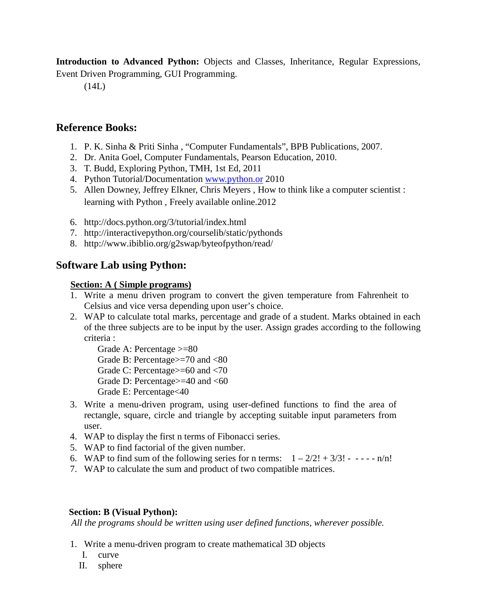**Introduction to Advanced Python:** Objects and Classes, Inheritance, Regular Expressions, Event Driven Programming, GUI Programming.

(14L)

# **Reference Books:**

- 1. P. K. Sinha & Priti Sinha , "Computer Fundamentals", BPB Publications, 2007.
- 2. Dr. Anita Goel, Computer Fundamentals, Pearson Education, 2010.
- 3. T. Budd, Exploring Python, TMH, 1st Ed, 2011
- 4. Python Tutorial/Documentation [www.python.or](http://www.python.or/) 2010
- 5. Allen Downey, Jeffrey Elkner, Chris Meyers , How to think like a computer scientist : learning with Python , Freely available online.2012
- 6. <http://docs.python.org/3/tutorial/index.html>
- 7. <http://interactivepython.org/courselib/static/pythonds>
- 8. <http://www.ibiblio.org/g2swap/byteofpython/read/>

# **Software Lab using Python:**

#### **Section: A ( Simple programs)**

- 1. Write a menu driven program to convert the given temperature from Fahrenheit to Celsius and vice versa depending upon user's choice.
- 2. WAP to calculate total marks, percentage and grade of a student. Marks obtained in each of the three subjects are to be input by the user. Assign grades according to the following criteria :

Grade A: Percentage >=80 Grade B: Percentage>=70 and <80 Grade C: Percentage>=60 and <70 Grade D: Percentage>=40 and <60

- Grade E: Percentage<40
- 3. Write a menu-driven program, using user-defined functions to find the area of rectangle, square, circle and triangle by accepting suitable input parameters from user.
- 4. WAP to display the first n terms of Fibonacci series.
- 5. WAP to find factorial of the given number.
- 6. WAP to find sum of the following series for n terms:  $1 2/2! + 3/3! - - n/n!$
- 7. WAP to calculate the sum and product of two compatible matrices.

#### **Section: B (Visual Python):**

*All the programs should be written using user defined functions, wherever possible.* 

- 1. Write a menu-driven program to create mathematical 3D objects
	- I. curve
	- II. sphere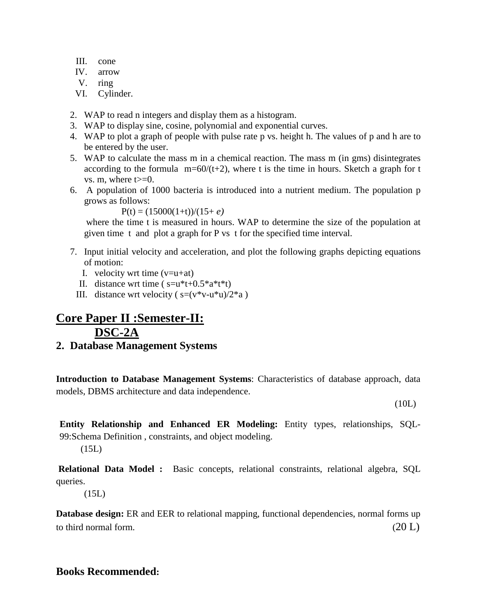- III. cone
- IV. arrow
- V. ring
- VI. Cylinder.
- 2. WAP to read n integers and display them as a histogram.
- 3. WAP to display sine, cosine, polynomial and exponential curves.
- 4. WAP to plot a graph of people with pulse rate p vs. height h. The values of p and h are to be entered by the user.
- 5. WAP to calculate the mass m in a chemical reaction. The mass m (in gms) disintegrates according to the formula  $m=60/(t+2)$ , where t is the time in hours. Sketch a graph for t vs. m, where  $t>=0$ .
- 6. A population of 1000 bacteria is introduced into a nutrient medium. The population p grows as follows:

 $P(t) = (15000(1+t))/(15+e)$ 

where the time t is measured in hours. WAP to determine the size of the population at given time t and plot a graph for P vs t for the specified time interval.

- 7. Input initial velocity and acceleration, and plot the following graphs depicting equations of motion:
	- I. velocity wrt time  $(v=u+at)$
	- II. distance wrt time ( $s=u*t+0.5*a*t*t)$ )
	- III. distance wrt velocity ( $s=(v*v-u*u)/2*a$ )

# **Core Paper II :Semester-II: DSC-2A**

**2. Database Management Systems** 

**Introduction to Database Management Systems**: Characteristics of database approach, data models, DBMS architecture and data independence.

(10L)

**Entity Relationship and Enhanced ER Modeling:** Entity types, relationships, SQL-99:Schema Definition , constraints, and object modeling.

 $(15L)$ 

**Relational Data Model :** Basic concepts, relational constraints, relational algebra, SQL queries.

(15L)

**Database design:** ER and EER to relational mapping, functional dependencies, normal forms up to third normal form.  $(20 L)$ 

#### **Books Recommended:**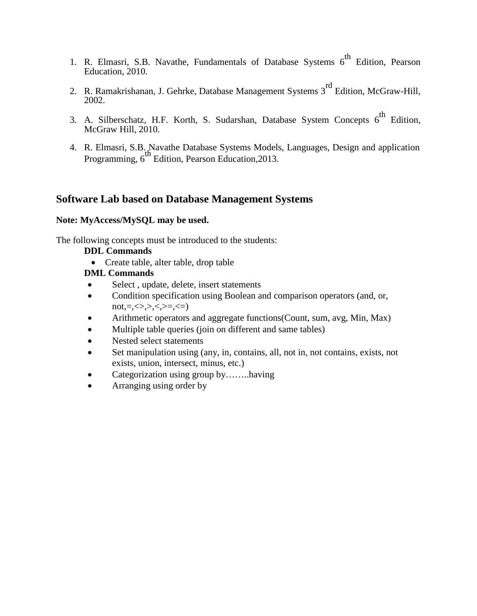- 1. R. Elmasri, S.B. Navathe, Fundamentals of Database Systems  $6<sup>th</sup>$  Edition, Pearson Education, 2010.
- 2. R. Ramakrishanan, J. Gehrke, Database Management Systems 3<sup>rd</sup> Edition, McGraw-Hill, 2002.
- 3. A. Silberschatz, H.F. Korth, S. Sudarshan, Database System Concepts 6<sup>th</sup> Edition, McGraw Hill, 2010.
- 4. R. Elmasri, S.B. Navathe Database Systems Models, Languages, Design and application Programming, 6<sup>th Charles Buttoute Byseling</sup> Programming, 6<sup>th</sup> Edition, Pearson Education, 2013.

#### **Software Lab based on Database Management Systems**

#### **Note: MyAccess/MySQL may be used.**

The following concepts must be introduced to the students:

#### **DDL Commands**

• Create table, alter table, drop table

#### **DML Commands**

- Select, update, delete, insert statements
- Condition specification using Boolean and comparison operators (and, or,  $not, = \leq, \leq, \geq, \leq, \geq =, \leq)$
- Arithmetic operators and aggregate functions (Count, sum, avg, Min, Max)
- Multiple table queries (join on different and same tables)
- Nested select statements
- Set manipulation using (any, in, contains, all, not in, not contains, exists, not exists, union, intersect, minus, etc.)
- Categorization using group by……..having
- Arranging using order by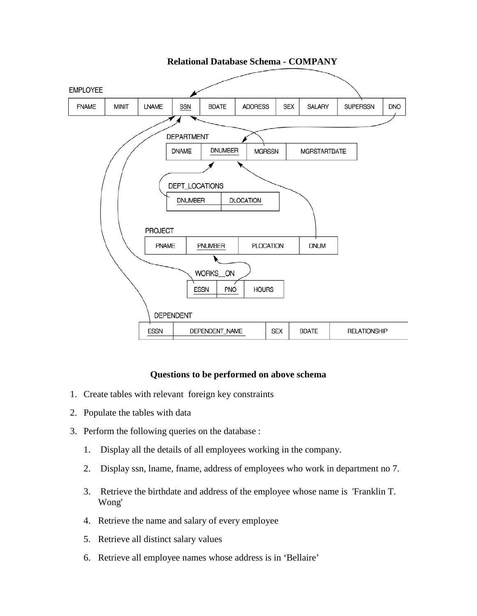

#### **Questions to be performed on above schema**

- 1. Create tables with relevant foreign key constraints
- 2. Populate the tables with data
- 3. Perform the following queries on the database :
	- 1. Display all the details of all employees working in the company.
	- 2. Display ssn, lname, fname, address of employees who work in department no 7.
	- 3. Retrieve the birthdate and address of the employee whose name is 'Franklin T. Wong'
	- 4. Retrieve the name and salary of every employee
	- 5. Retrieve all distinct salary values
	- 6. Retrieve all employee names whose address is in 'Bellaire'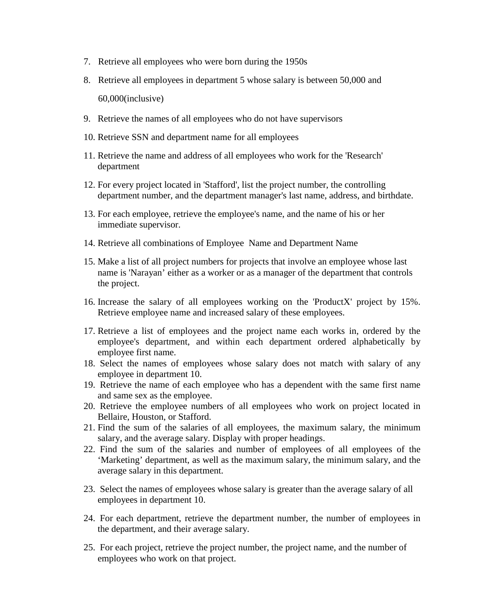- 7. Retrieve all employees who were born during the 1950s
- 8. Retrieve all employees in department 5 whose salary is between 50,000 and 60,000(inclusive)
- 9. Retrieve the names of all employees who do not have supervisors
- 10. Retrieve SSN and department name for all employees
- 11. Retrieve the name and address of all employees who work for the 'Research' department
- 12. For every project located in 'Stafford', list the project number, the controlling department number, and the department manager's last name, address, and birthdate.
- 13. For each employee, retrieve the employee's name, and the name of his or her immediate supervisor.
- 14. Retrieve all combinations of Employee Name and Department Name
- 15. Make a list of all project numbers for projects that involve an employee whose last name is 'Narayan' either as a worker or as a manager of the department that controls the project.
- 16. Increase the salary of all employees working on the 'ProductX' project by 15%. Retrieve employee name and increased salary of these employees.
- 17. Retrieve a list of employees and the project name each works in, ordered by the employee's department, and within each department ordered alphabetically by employee first name.
- 18. Select the names of employees whose salary does not match with salary of any employee in department 10.
- 19. Retrieve the name of each employee who has a dependent with the same first name and same sex as the employee.
- 20. Retrieve the employee numbers of all employees who work on project located in Bellaire, Houston, or Stafford.
- 21. Find the sum of the salaries of all employees, the maximum salary, the minimum salary, and the average salary. Display with proper headings.
- 22. Find the sum of the salaries and number of employees of all employees of the 'Marketing' department, as well as the maximum salary, the minimum salary, and the average salary in this department.
- 23. Select the names of employees whose salary is greater than the average salary of all employees in department 10.
- 24. For each department, retrieve the department number, the number of employees in the department, and their average salary.
- 25. For each project, retrieve the project number, the project name, and the number of employees who work on that project.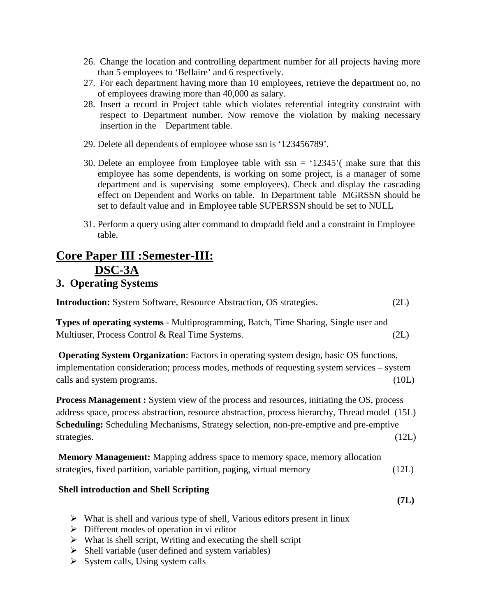- 26. Change the location and controlling department number for all projects having more than 5 employees to 'Bellaire' and 6 respectively.
- 27. For each department having more than 10 employees, retrieve the department no, no of employees drawing more than 40,000 as salary.
- 28. Insert a record in Project table which violates referential integrity constraint with respect to Department number. Now remove the violation by making necessary insertion in the Department table.
- 29. Delete all dependents of employee whose ssn is '123456789'.
- 30. Delete an employee from Employee table with ssn = '12345'( make sure that this employee has some dependents, is working on some project, is a manager of some department and is supervising some employees). Check and display the cascading effect on Dependent and Works on table. In Department table MGRSSN should be set to default value and in Employee table SUPERSSN should be set to NULL
- 31. Perform a query using alter command to drop/add field and a constraint in Employee table.

# **Core Paper III :Semester-III: DSC-3A**

# **3. Operating Systems**

**Introduction:** System Software, Resource Abstraction, OS strategies. (2L)

**Types of operating systems** - Multiprogramming, Batch, Time Sharing, Single user and Multiuser, Process Control & Real Time Systems. (2L)

**Operating System Organization**: Factors in operating system design, basic OS functions, implementation consideration; process modes, methods of requesting system services – system calls and system programs. (10L)

**Process Management :** System view of the process and resources, initiating the OS, process address space, process abstraction, resource abstraction, process hierarchy, Thread model (15L) **Scheduling:** Scheduling Mechanisms, Strategy selection, non-pre-emptive and pre-emptive strategies. (12L)

**Memory Management:** Mapping address space to memory space, memory allocation strategies, fixed partition, variable partition, paging, virtual memory (12L)

#### **Shell introduction and Shell Scripting**

- **(7L)**
- $\triangleright$  What is shell and various type of shell, Various editors present in linux
- $\triangleright$  Different modes of operation in vi editor
- $\triangleright$  What is shell script, Writing and executing the shell script
- $\triangleright$  Shell variable (user defined and system variables)
- $\triangleright$  System calls, Using system calls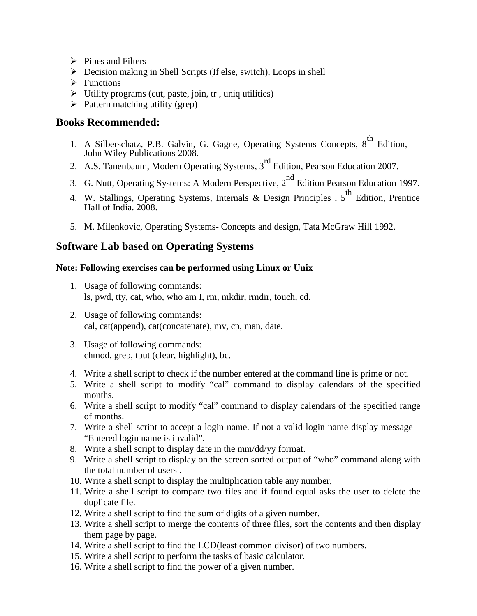- $\triangleright$  Pipes and Filters
- $\triangleright$  Decision making in Shell Scripts (If else, switch), Loops in shell
- $\triangleright$  Functions
- $\triangleright$  Utility programs (cut, paste, join, tr, uniq utilities)
- $\triangleright$  Pattern matching utility (grep)

#### **Books Recommended:**

- 1. A Silberschatz, P.B. Galvin, G. Gagne, Operating Systems Concepts, 8<sup>th</sup> Edition, John Wiley Publications 2008.
- 2. A.S. Tanenbaum, Modern Operating Systems, 3<sup>rd</sup> Edition, Pearson Education 2007.
- 3. G. Nutt, Operating Systems: A Modern Perspective, 2<sup>nd</sup> Edition Pearson Education 1997.
- 4. W. Stallings, Operating Systems, Internals & Design Principles, 5<sup>th</sup> Edition, Prentice Hall of India. 2008.
- 5. M. Milenkovic, Operating Systems- Concepts and design, Tata McGraw Hill 1992.

# **Software Lab based on Operating Systems**

#### **Note: Following exercises can be performed using Linux or Unix**

- 1. Usage of following commands: ls, pwd, tty, cat, who, who am I, rm, mkdir, rmdir, touch, cd.
- 2. Usage of following commands: cal, cat(append), cat(concatenate), mv, cp, man, date.
- 3. Usage of following commands: chmod, grep, tput (clear, highlight), bc.
- 4. Write a shell script to check if the number entered at the command line is prime or not.
- 5. Write a shell script to modify "cal" command to display calendars of the specified months.
- 6. Write a shell script to modify "cal" command to display calendars of the specified range of months.
- 7. Write a shell script to accept a login name. If not a valid login name display message "Entered login name is invalid".
- 8. Write a shell script to display date in the mm/dd/yy format.
- 9. Write a shell script to display on the screen sorted output of "who" command along with the total number of users .
- 10. Write a shell script to display the multiplication table any number,
- 11. Write a shell script to compare two files and if found equal asks the user to delete the duplicate file.
- 12. Write a shell script to find the sum of digits of a given number.
- 13. Write a shell script to merge the contents of three files, sort the contents and then display them page by page.
- 14. Write a shell script to find the LCD(least common divisor) of two numbers.
- 15. Write a shell script to perform the tasks of basic calculator.
- 16. Write a shell script to find the power of a given number.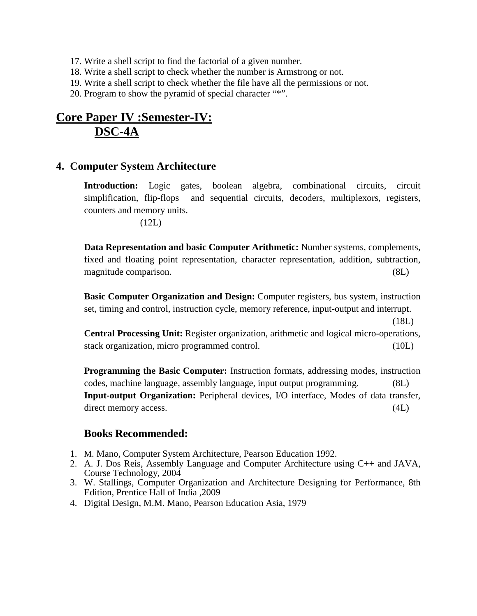- 17. Write a shell script to find the factorial of a given number.
- 18. Write a shell script to check whether the number is Armstrong or not.
- 19. Write a shell script to check whether the file have all the permissions or not.
- 20. Program to show the pyramid of special character "\*".

# **Core Paper IV :Semester-IV: DSC-4A**

#### **4. Computer System Architecture**

**Introduction:** Logic gates, boolean algebra, combinational circuits, circuit simplification, flip-flops and sequential circuits, decoders, multiplexors, registers, counters and memory units.

(12L)

**Data Representation and basic Computer Arithmetic:** Number systems, complements, fixed and floating point representation, character representation, addition, subtraction, magnitude comparison. (8L)

**Basic Computer Organization and Design:** Computer registers, bus system, instruction set, timing and control, instruction cycle, memory reference, input-output and interrupt.

(18L)

**Central Processing Unit:** Register organization, arithmetic and logical micro-operations, stack organization, micro programmed control. (10L)

**Programming the Basic Computer:** Instruction formats, addressing modes, instruction codes, machine language, assembly language, input output programming. (8L) **Input-output Organization:** Peripheral devices, I/O interface, Modes of data transfer, direct memory access. (4L)

#### **Books Recommended:**

- 1. M. Mano, Computer System Architecture, Pearson Education 1992.
- 2. A. J. Dos Reis, Assembly Language and Computer Architecture using C++ and JAVA, Course Technology, 2004
- 3. W. Stallings, Computer Organization and Architecture Designing for Performance, 8th Edition, Prentice Hall of India ,2009
- 4. Digital Design, M.M. Mano, Pearson Education Asia, 1979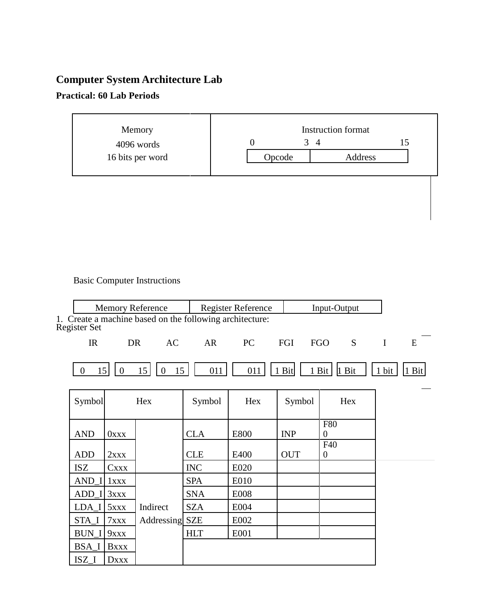# **Computer System Architecture Lab**

# **Practical: 60 Lab Periods**

| Memory           | <b>Instruction format</b> |         |  |
|------------------|---------------------------|---------|--|
| 4096 words       | 3<br>4                    |         |  |
| 16 bits per word | Opcode                    | Address |  |
|                  |                           |         |  |

# Basic Computer Instructions

|                      |                | <b>Memory Reference</b>                                  |            | <b>Register Reference</b> |            | Input-Output                          |          |       |
|----------------------|----------------|----------------------------------------------------------|------------|---------------------------|------------|---------------------------------------|----------|-------|
| <b>Register Set</b>  |                | 1. Create a machine based on the following architecture: |            |                           |            |                                       |          |       |
| IR                   | DR             | AC                                                       | AR         | PC                        | FGI        | <b>FGO</b><br>S                       | $\bf{I}$ | E     |
| $\overline{0}$<br>15 | $\overline{0}$ | 15<br>$\mathbf{0}$<br>15                                 | 011        | 011                       | 1 Bit      | 1 Bit<br>1 Bit                        | 1 bit    | 1 Bit |
| Symbol               |                | Hex                                                      | Symbol     | Hex                       | Symbol     | Hex                                   |          |       |
| <b>AND</b>           | <b>OXXX</b>    |                                                          | <b>CLA</b> | <b>E800</b>               | <b>INP</b> | <b>F80</b><br>$\boldsymbol{0}$<br>F40 |          |       |
| <b>ADD</b>           | 2xxx           |                                                          | <b>CLE</b> | E400                      | <b>OUT</b> | $\theta$                              |          |       |
| <b>ISZ</b>           | <b>Cxxx</b>    |                                                          | <b>INC</b> | E020                      |            |                                       |          |       |
| AND I                | 1xxx           |                                                          | <b>SPA</b> | E010                      |            |                                       |          |       |
| ADD I                | 3xxx           |                                                          | <b>SNA</b> | <b>E008</b>               |            |                                       |          |       |
| LDA I                | 5xxx           | Indirect                                                 | <b>SZA</b> | E004                      |            |                                       |          |       |
| STA_I                | 7xxx           | Addressing SZE                                           |            | E002                      |            |                                       |          |       |
| <b>BUN I</b>         | 9xxx           |                                                          | <b>HLT</b> | E001                      |            |                                       |          |       |
| BSA <sub>I</sub>     | <b>Bxxx</b>    |                                                          |            |                           |            |                                       |          |       |
| $ISZ_I$              | <b>DXXX</b>    |                                                          |            |                           |            |                                       |          |       |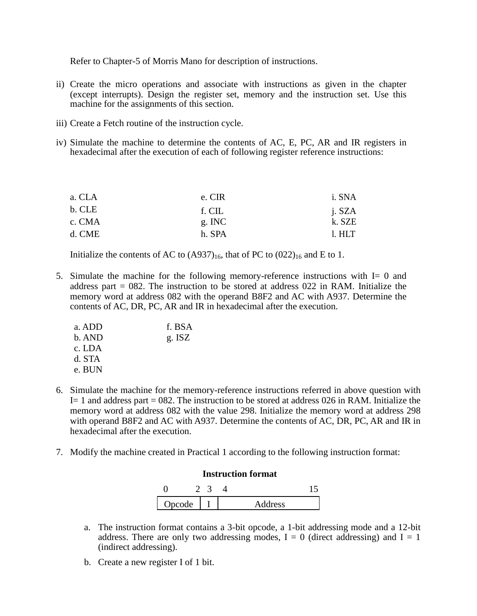Refer to Chapter-5 of Morris Mano for description of instructions.

- ii) Create the micro operations and associate with instructions as given in the chapter (except interrupts). Design the register set, memory and the instruction set. Use this machine for the assignments of this section.
- iii) Create a Fetch routine of the instruction cycle.
- iv) Simulate the machine to determine the contents of AC, E, PC, AR and IR registers in hexadecimal after the execution of each of following register reference instructions:

| e. CIR | i. SNA |
|--------|--------|
| f. CIL | j. SZA |
| g. INC | k. SZE |
| h. SPA | 1. HLT |
|        |        |

Initialize the contents of AC to  $(A937)_{16}$ , that of PC to  $(022)_{16}$  and E to 1.

5. Simulate the machine for the following memory-reference instructions with I= 0 and address part  $= 082$ . The instruction to be stored at address 022 in RAM. Initialize the memory word at address 082 with the operand B8F2 and AC with A937. Determine the contents of AC, DR, PC, AR and IR in hexadecimal after the execution.

| a. ADD | f. BSA   |
|--------|----------|
| b. AND | $g.$ ISZ |
| c. LDA |          |
| d. STA |          |
| e. BUN |          |

- 6. Simulate the machine for the memory-reference instructions referred in above question with  $I= 1$  and address part = 082. The instruction to be stored at address 026 in RAM. Initialize the memory word at address 082 with the value 298. Initialize the memory word at address 298 with operand B8F2 and AC with A937. Determine the contents of AC, DR, PC, AR and IR in hexadecimal after the execution.
- 7. Modify the machine created in Practical 1 according to the following instruction format:



- a. The instruction format contains a 3-bit opcode, a 1-bit addressing mode and a 12-bit address. There are only two addressing modes,  $I = 0$  (direct addressing) and  $I = 1$ (indirect addressing).
- b. Create a new register I of 1 bit.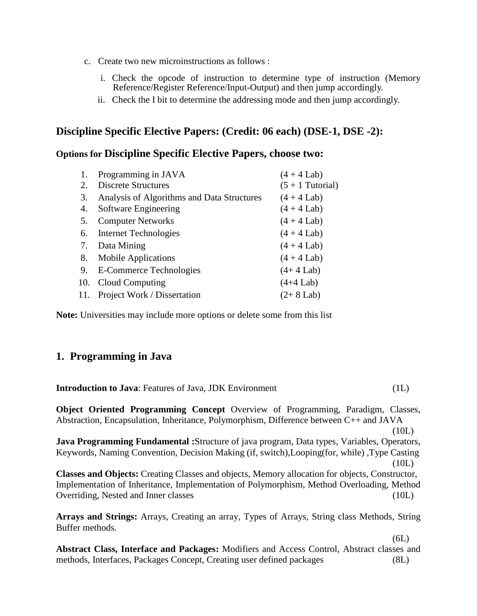- c. Create two new microinstructions as follows :
	- i. Check the opcode of instruction to determine type of instruction (Memory Reference/Register Reference/Input-Output) and then jump accordingly.
	- ii. Check the I bit to determine the addressing mode and then jump accordingly.

# **Discipline Specific Elective Papers: (Credit: 06 each) (DSE-1, DSE -2):**

# **Options for Discipline Specific Elective Papers, choose two:**

| 1. | Programming in JAVA                        | $(4 + 4$ Lab)      |
|----|--------------------------------------------|--------------------|
| 2. | <b>Discrete Structures</b>                 | $(5 + 1)$ Tutorial |
| 3. | Analysis of Algorithms and Data Structures | $(4 + 4$ Lab)      |
| 4. | Software Engineering                       | $(4 + 4$ Lab)      |
| 5. | <b>Computer Networks</b>                   | $(4 + 4$ Lab)      |
| 6. | <b>Internet Technologies</b>               | $(4 + 4$ Lab)      |
| 7. | Data Mining                                | $(4 + 4$ Lab)      |
| 8. | <b>Mobile Applications</b>                 | $(4 + 4$ Lab)      |
| 9. | E-Commerce Technologies                    | $(4+4$ Lab)        |
|    | 10. Cloud Computing                        | $(4+4$ Lab)        |
|    | 11. Project Work / Dissertation            | $(2+8$ Lab)        |
|    |                                            |                    |

**Note:** Universities may include more options or delete some from this list

# **1. Programming in Java**

| <b>Introduction to Java: Features of Java, JDK Environment</b>                                                                                                                                                                             | (1L)           |
|--------------------------------------------------------------------------------------------------------------------------------------------------------------------------------------------------------------------------------------------|----------------|
| <b>Object Oriented Programming Concept</b> Overview of Programming, Paradigm, Classes,<br>Abstraction, Encapsulation, Inheritance, Polymorphism, Difference between C++ and JAVA                                                           |                |
| Java Programming Fundamental :Structure of java program, Data types, Variables, Operators,<br>Keywords, Naming Convention, Decision Making (if, switch), Looping (for, while), Type Casting                                                | (10L)<br>(10L) |
| <b>Classes and Objects:</b> Creating Classes and objects, Memory allocation for objects, Constructor,<br>Implementation of Inheritance, Implementation of Polymorphism, Method Overloading, Method<br>Overriding, Nested and Inner classes | (10L)          |
| Arrays and Strings: Arrays, Creating an array, Types of Arrays, String class Methods, String<br>Buffer methods.                                                                                                                            |                |
| Abstract Class, Interface and Packages: Modifiers and Access Control, Abstract classes and<br>methods, Interfaces, Packages Concept, Creating user defined packages                                                                        | (6L)<br>(8L)   |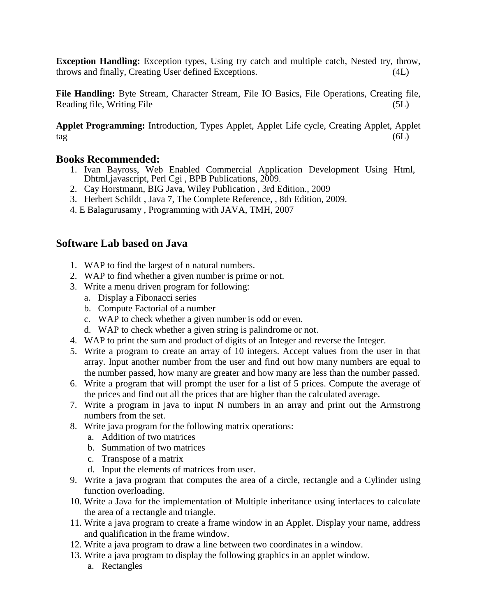**Exception Handling:** Exception types, Using try catch and multiple catch, Nested try, throw, throws and finally, Creating User defined Exceptions. (4L)

**File Handling:** Byte Stream, Character Stream, File IO Basics, File Operations, Creating file, Reading file, Writing File (5L)

**Applet Programming:** In**t**roduction, Types Applet, Applet Life cycle, Creating Applet, Applet  $tag (6L)$ 

## **Books Recommended:**

- 1. Ivan Bayross, Web Enabled Commercial Application Development Using Html, Dhtml,javascript, Perl Cgi , BPB Publications, 2009.
- 2. Cay Horstmann, BIG Java, Wiley Publication , 3rd Edition., 2009
- 3. Herbert Schildt , Java 7, The Complete Reference, , 8th Edition, 2009.
- 4. E Balagurusamy , Programming with JAVA, TMH, 2007

# **Software Lab based on Java**

- 1. WAP to find the largest of n natural numbers.
- 2. WAP to find whether a given number is prime or not.
- 3. Write a menu driven program for following:
	- a. Display a Fibonacci series
	- b. Compute Factorial of a number
	- c. WAP to check whether a given number is odd or even.
	- d. WAP to check whether a given string is palindrome or not.
- 4. WAP to print the sum and product of digits of an Integer and reverse the Integer.
- 5. Write a program to create an array of 10 integers. Accept values from the user in that array. Input another number from the user and find out how many numbers are equal to the number passed, how many are greater and how many are less than the number passed.
- 6. Write a program that will prompt the user for a list of 5 prices. Compute the average of the prices and find out all the prices that are higher than the calculated average.
- 7. Write a program in java to input N numbers in an array and print out the Armstrong numbers from the set.
- 8. Write java program for the following matrix operations:
	- a. Addition of two matrices
	- b. Summation of two matrices
	- c. Transpose of a matrix
	- d. Input the elements of matrices from user.
- 9. Write a java program that computes the area of a circle, rectangle and a Cylinder using function overloading.
- 10. Write a Java for the implementation of Multiple inheritance using interfaces to calculate the area of a rectangle and triangle.
- 11. Write a java program to create a frame window in an Applet. Display your name, address and qualification in the frame window.
- 12. Write a java program to draw a line between two coordinates in a window.
- 13. Write a java program to display the following graphics in an applet window.
	- a. Rectangles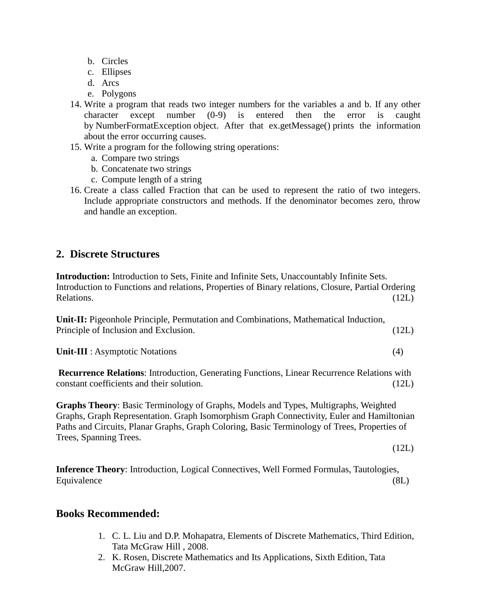- b. Circles
- c. Ellipses
- d. Arcs
- e. Polygons
- 14. Write a program that reads two integer numbers for the variables a and b. If any other character except number (0-9) is entered then the error is caught by NumberFormatException object. After that ex.getMessage() prints the information about the error occurring causes.
- 15. Write a program for the following string operations:
	- a. Compare two strings
	- b. Concatenate two strings
	- c. Compute length of a string
- 16. Create a class called Fraction that can be used to represent the ratio of two integers. Include appropriate constructors and methods. If the denominator becomes zero, throw and handle an exception.

#### **2. Discrete Structures**

**Introduction:** Introduction to Sets, Finite and Infinite Sets, Unaccountably Infinite Sets. Introduction to Functions and relations, Properties of Binary relations, Closure, Partial Ordering Relations. (12L)

**Unit-II:** Pigeonhole Principle, Permutation and Combinations, Mathematical Induction, Principle of Inclusion and Exclusion. (12L)

**Unit-III** : Asymptotic Notations (4)

**Recurrence Relations**: Introduction, Generating Functions, Linear Recurrence Relations with constant coefficients and their solution. (12L)

**Graphs Theory**: Basic Terminology of Graphs, Models and Types, Multigraphs, Weighted Graphs, Graph Representation. Graph Isomorphism Graph Connectivity, Euler and Hamiltonian Paths and Circuits, Planar Graphs, Graph Coloring, Basic Terminology of Trees, Properties of Trees, Spanning Trees.

(12L)

**Inference Theory**: Introduction, Logical Connectives, Well Formed Formulas, Tautologies, Equivalence (8L)

#### **Books Recommended:**

- 1. C. L. Liu and D.P. Mohapatra, Elements of Discrete Mathematics, Third Edition, Tata McGraw Hill , 2008.
- 2. K. Rosen, Discrete Mathematics and Its Applications, Sixth Edition, Tata McGraw Hill,2007.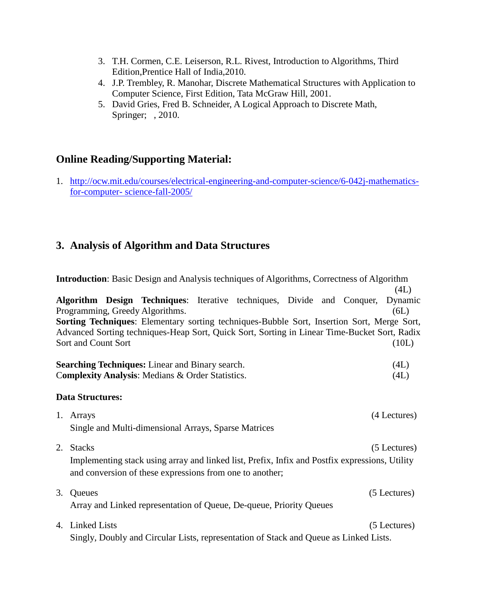- 3. T.H. Cormen, C.E. Leiserson, R.L. Rivest, Introduction to Algorithms, Third Edition,Prentice Hall of India,2010.
- 4. J.P. Trembley, R. Manohar, Discrete Mathematical Structures with Application to Computer Science, First Edition, Tata McGraw Hill, 2001.
- 5. [David Gries,](http://www.amazon.in/David-Gries/e/B0034Q2K6O/ref=dp_byline_cont_book_1) [Fred B. Schneider,](http://www.amazon.in/s/ref=dp_byline_sr_book_2?ie=UTF8&field-author=Fred+B.+Schneider&search-alias=stripbooks) A Logical Approach to Discrete Math, Springer; , 2010.

# **Online Reading/Supporting Material:**

1. [http://ocw.mit.edu/courses/electrical-engineering-and-computer-science/6-042j-mathematics](http://ocw.mit.edu/courses/electrical-engineering-and-computer-science/6-042j-mathematics-for-computer-%20science-fall-2005/)for-computer- [science-fall-2005/](http://ocw.mit.edu/courses/electrical-engineering-and-computer-science/6-042j-mathematics-for-computer-%20science-fall-2005/)

# **3. Analysis of Algorithm and Data Structures**

|    | <b>Introduction:</b> Basic Design and Analysis techniques of Algorithms, Correctness of Algorithm                                                                                                                                                                                                                              |                                  |  |  |  |  |
|----|--------------------------------------------------------------------------------------------------------------------------------------------------------------------------------------------------------------------------------------------------------------------------------------------------------------------------------|----------------------------------|--|--|--|--|
|    | Algorithm Design Techniques: Iterative techniques, Divide and Conquer,<br>Programming, Greedy Algorithms.<br>Sorting Techniques: Elementary sorting techniques-Bubble Sort, Insertion Sort, Merge Sort,<br>Advanced Sorting techniques-Heap Sort, Quick Sort, Sorting in Linear Time-Bucket Sort, Radix<br>Sort and Count Sort | (4L)<br>Dynamic<br>(6L)<br>(10L) |  |  |  |  |
|    | <b>Searching Techniques:</b> Linear and Binary search.<br>Complexity Analysis: Medians & Order Statistics.                                                                                                                                                                                                                     | (4L)<br>(4L)                     |  |  |  |  |
|    | <b>Data Structures:</b>                                                                                                                                                                                                                                                                                                        |                                  |  |  |  |  |
|    | 1. Arrays<br>Single and Multi-dimensional Arrays, Sparse Matrices                                                                                                                                                                                                                                                              | (4 Lectures)                     |  |  |  |  |
|    | 2. Stacks<br>Implementing stack using array and linked list, Prefix, Infix and Postfix expressions, Utility<br>and conversion of these expressions from one to another;                                                                                                                                                        | (5 Lectures)                     |  |  |  |  |
| 3. | Queues<br>Array and Linked representation of Queue, De-queue, Priority Queues                                                                                                                                                                                                                                                  | (5 Lectures)                     |  |  |  |  |
|    | 4. Linked Lists<br>Singly, Doubly and Circular Lists, representation of Stack and Queue as Linked Lists.                                                                                                                                                                                                                       | (5 Lectures)                     |  |  |  |  |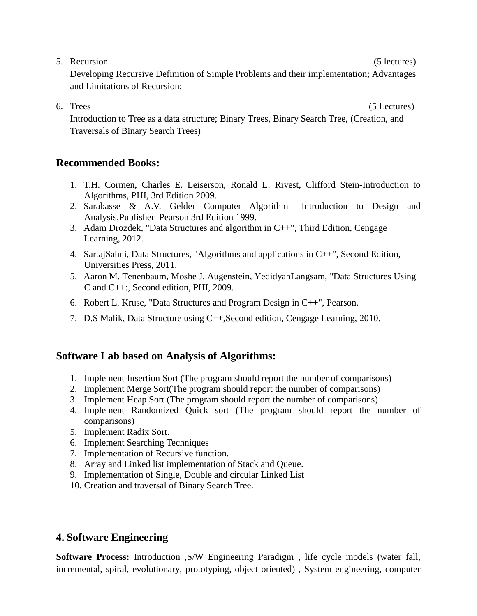5. Recursion (5 lectures) Developing Recursive Definition of Simple Problems and their implementation; Advantages

and Limitations of Recursion;

6. Trees (5 Lectures)

Introduction to Tree as a data structure; Binary Trees, Binary Search Tree, (Creation, and Traversals of Binary Search Trees)

# **Recommended Books:**

- 1. T.H. Cormen, Charles E. Leiserson, Ronald L. Rivest, Clifford Stein-Introduction to Algorithms, PHI, 3rd Edition 2009.
- 2. Sarabasse & A.V. Gelder Computer Algorithm –Introduction to Design and Analysis,Publisher–Pearson 3rd Edition 1999.
- 3. Adam Drozdek, "Data Structures and algorithm in C++"*,* Third Edition, Cengage Learning, 2012.
- 4. SartajSahni, Data Structures, "Algorithms and applications in C++", Second Edition, Universities Press, 2011.
- 5. Aaron M. Tenenbaum, Moshe J. Augenstein, YedidyahLangsam, "Data Structures Using C and C++:, Second edition, PHI, 2009.
- 6. Robert L. Kruse, "Data Structures and Program Design in C++", Pearson.
- 7. D.S Malik, Data Structure using C++,Second edition, Cengage Learning, 2010.

# **Software Lab based on Analysis of Algorithms:**

- 1. Implement Insertion Sort (The program should report the number of comparisons)
- 2. Implement Merge Sort(The program should report the number of comparisons)
- 3. Implement Heap Sort (The program should report the number of comparisons)
- 4. Implement Randomized Quick sort (The program should report the number of comparisons)
- 5. Implement Radix Sort.
- 6. Implement Searching Techniques
- 7. Implementation of Recursive function.
- 8. Array and Linked list implementation of Stack and Queue.
- 9. Implementation of Single, Double and circular Linked List
- 10. Creation and traversal of Binary Search Tree.

# **4. Software Engineering**

**Software Process:** Introduction ,S/W Engineering Paradigm , life cycle models (water fall, incremental, spiral, evolutionary, prototyping, object oriented) , System engineering, computer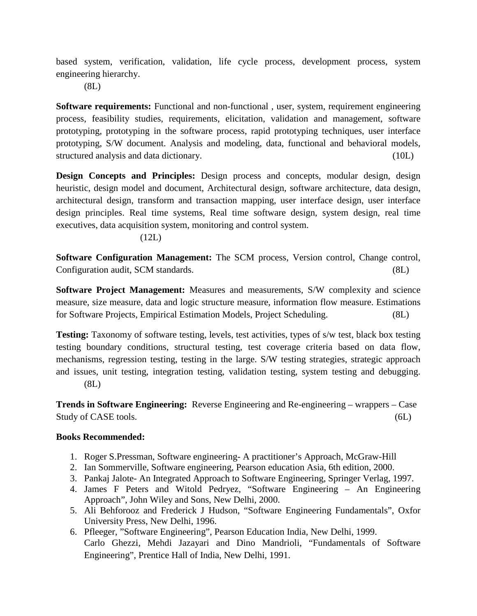based system, verification, validation, life cycle process, development process, system engineering hierarchy.

(8L)

**Software requirements:** Functional and non-functional, user, system, requirement engineering process, feasibility studies, requirements, elicitation, validation and management, software prototyping, prototyping in the software process, rapid prototyping techniques, user interface prototyping, S/W document. Analysis and modeling, data, functional and behavioral models, structured analysis and data dictionary. (10L)

**Design Concepts and Principles:** Design process and concepts, modular design, design heuristic, design model and document, Architectural design, software architecture, data design, architectural design, transform and transaction mapping, user interface design, user interface design principles. Real time systems, Real time software design, system design, real time executives, data acquisition system, monitoring and control system.

#### $(12L)$

**Software Configuration Management:** The SCM process, Version control, Change control, Configuration audit, SCM standards. (8L)

**Software Project Management:** Measures and measurements, S/W complexity and science measure, size measure, data and logic structure measure, information flow measure. Estimations for Software Projects, Empirical Estimation Models, Project Scheduling. (8L)

**Testing:** Taxonomy of software testing, levels, test activities, types of s/w test, black box testing testing boundary conditions, structural testing, test coverage criteria based on data flow, mechanisms, regression testing, testing in the large. S/W testing strategies, strategic approach and issues, unit testing, integration testing, validation testing, system testing and debugging. (8L)

**Trends in Software Engineering:** Reverse Engineering and Re-engineering – wrappers – Case Study of CASE tools. (6L)

#### **Books Recommended:**

- 1. Roger S.Pressman, Software engineering- A practitioner's Approach, McGraw-Hill
- 2. Ian Sommerville, Software engineering, Pearson education Asia, 6th edition, 2000.
- 3. Pankaj Jalote- An Integrated Approach to Software Engineering, Springer Verlag, 1997.
- 4. James F Peters and Witold Pedryez, "Software Engineering An Engineering Approach", John Wiley and Sons, New Delhi, 2000.
- 5. Ali Behforooz and Frederick J Hudson, "Software Engineering Fundamentals", Oxfor University Press, New Delhi, 1996.
- 6. Pfleeger, "Software Engineering", Pearson Education India, New Delhi, 1999. Carlo Ghezzi, Mehdi Jazayari and Dino Mandrioli, "Fundamentals of Software Engineering", Prentice Hall of India, New Delhi, 1991.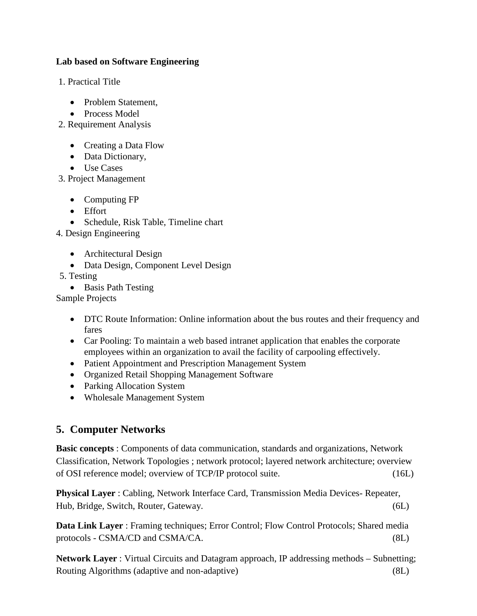#### **Lab based on Software Engineering**

1. Practical Title

- Problem Statement,
- Process Model
- 2. Requirement Analysis
	- Creating a Data Flow
	- Data Dictionary,
	- Use Cases

3. Project Management

- Computing FP
- Effort
- Schedule, Risk Table, Timeline chart

4. Design Engineering

- Architectural Design
- Data Design, Component Level Design

5. Testing

• Basis Path Testing

Sample Projects

- DTC Route Information: Online information about the bus routes and their frequency and fares
- Car Pooling: To maintain a web based intranet application that enables the corporate employees within an organization to avail the facility of carpooling effectively.
- Patient Appointment and Prescription Management System
- Organized Retail Shopping Management Software
- Parking Allocation System
- Wholesale Management System

# **5. Computer Networks**

**Basic concepts** : Components of data communication, standards and organizations, Network Classification, Network Topologies ; network protocol; layered network architecture; overview of OSI reference model; overview of TCP/IP protocol suite. (16L)

**Physical Layer** : Cabling, Network Interface Card, Transmission Media Devices- Repeater, Hub, Bridge, Switch, Router, Gateway. (6L)

**Data Link Layer** : Framing techniques; Error Control; Flow Control Protocols; Shared media protocols - CSMA/CD and CSMA/CA. (8L)

**Network Layer** : Virtual Circuits and Datagram approach, IP addressing methods – Subnetting; Routing Algorithms (adaptive and non-adaptive) (8L)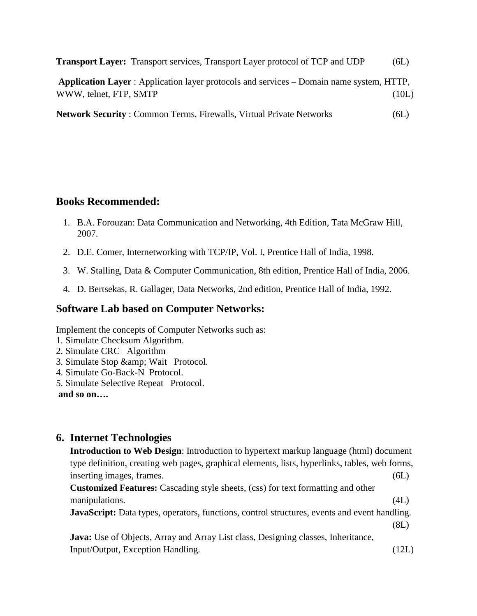|  |  | <b>Transport Layer:</b> Transport services, Transport Layer protocol of TCP and UDP |  | 6L) |
|--|--|-------------------------------------------------------------------------------------|--|-----|
|--|--|-------------------------------------------------------------------------------------|--|-----|

| Application Layer : Application layer protocols and services – Domain name system, HTTP, |       |
|------------------------------------------------------------------------------------------|-------|
| WWW, telnet, FTP, SMTP                                                                   | (10L) |

**Network Security** : Common Terms, Firewalls, Virtual Private Networks (6L)

# **Books Recommended:**

- 1. B.A. Forouzan: Data Communication and Networking, 4th Edition, Tata McGraw Hill, 2007.
- 2. D.E. Comer, Internetworking with TCP/IP, Vol. I, Prentice Hall of India, 1998.
- 3. W. Stalling, Data & Computer Communication, 8th edition, Prentice Hall of India, 2006.
- 4. D. Bertsekas, R. Gallager, Data Networks, 2nd edition, Prentice Hall of India, 1992.

## **Software Lab based on Computer Networks:**

Implement the concepts of Computer Networks such as:

- 1. Simulate Checksum Algorithm.
- 2. Simulate CRC Algorithm
- 3. Simulate Stop & amp; Wait Protocol.
- 4. Simulate Go-Back-N Protocol.
- 5. Simulate Selective Repeat Protocol.

**and so on….**

# **6. Internet Technologies**

| <b>Introduction to Web Design:</b> Introduction to hypertext markup language (html) document        |       |
|-----------------------------------------------------------------------------------------------------|-------|
| type definition, creating web pages, graphical elements, lists, hyperlinks, tables, web forms,      |       |
| inserting images, frames.                                                                           | (6L)  |
| <b>Customized Features:</b> Cascading style sheets, (css) for text formatting and other             |       |
| manipulations.                                                                                      | (4L)  |
| <b>JavaScript:</b> Data types, operators, functions, control structures, events and event handling. |       |
|                                                                                                     | (8L)  |
| <b>Java:</b> Use of Objects, Array and Array List class, Designing classes, Inheritance,            |       |
| Input/Output, Exception Handling.                                                                   | (12L) |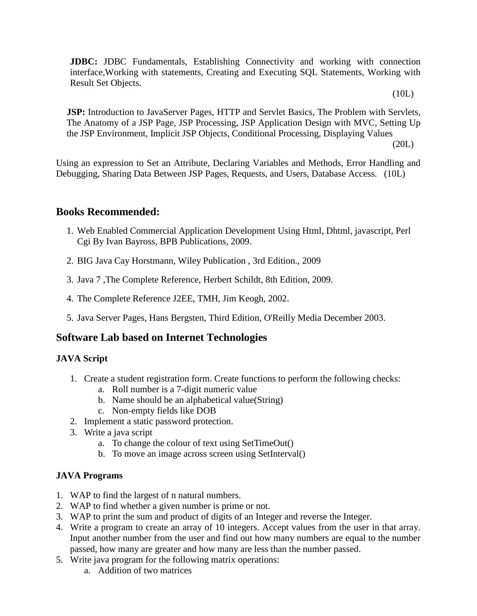**JDBC:** JDBC Fundamentals, Establishing Connectivity and working with connection interface,Working with statements, Creating and Executing SQL Statements, Working with Result Set Objects.

(10L)

**JSP:** Introduction to JavaServer Pages, HTTP and Servlet Basics, The Problem with Servlets, The Anatomy of a JSP Page, JSP Processing, JSP Application Design with MVC, Setting Up the JSP Environment, Implicit JSP Objects, Conditional Processing, Displaying Values

(20L)

Using an expression to Set an Attribute, Declaring Variables and Methods, Error Handling and Debugging, Sharing Data Between JSP Pages, Requests, and Users, Database Access. (10L)

# **Books Recommended:**

- 1. Web Enabled Commercial Application Development Using Html, Dhtml, javascript, Perl Cgi By Ivan Bayross, BPB Publications, 2009.
- 2. BIG Java Cay Horstmann, Wiley Publication , 3rd Edition., 2009
- 3. Java 7 ,The Complete Reference, Herbert Schildt, 8th Edition, 2009.
- 4. The Complete Reference J2EE, TMH, Jim Keogh, 2002.
- 5. Java Server Pages, Hans Bergsten, Third Edition, O'Reilly Media December 2003.

# **Software Lab based on Internet Technologies**

#### **JAVA Script**

- 1. Create a student registration form. Create functions to perform the following checks:
	- a. Roll number is a 7-digit numeric value
	- b. Name should be an alphabetical value(String)
	- c. Non-empty fields like DOB
- 2. Implement a static password protection.
- 3. Write a java script
	- a. To change the colour of text using SetTimeOut()
	- b. To move an image across screen using SetInterval()

#### **JAVA Programs**

- 1. WAP to find the largest of n natural numbers.
- 2. WAP to find whether a given number is prime or not.
- 3. WAP to print the sum and product of digits of an Integer and reverse the Integer.
- 4. Write a program to create an array of 10 integers. Accept values from the user in that array. Input another number from the user and find out how many numbers are equal to the number passed, how many are greater and how many are less than the number passed.
- 5. Write java program for the following matrix operations:
	- a. Addition of two matrices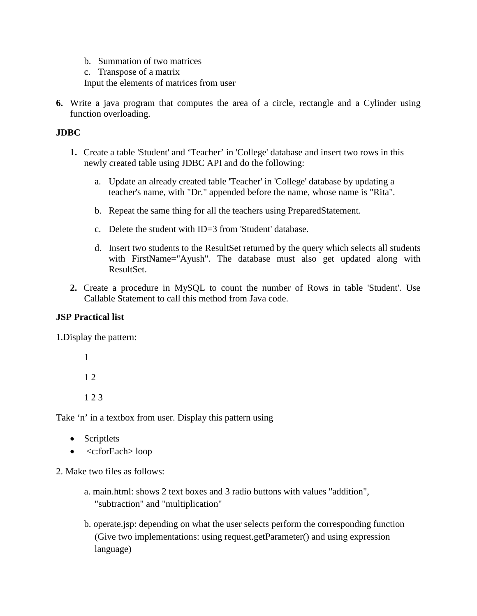- b. Summation of two matrices
- c. Transpose of a matrix

Input the elements of matrices from user

**6.** Write a java program that computes the area of a circle, rectangle and a Cylinder using function overloading.

#### **JDBC**

- **1.** Create a table 'Student' and 'Teacher' in 'College' database and insert two rows in this newly created table using JDBC API and do the following:
	- a. Update an already created table 'Teacher' in 'College' database by updating a teacher's name, with "Dr." appended before the name, whose name is "Rita".
	- b. Repeat the same thing for all the teachers using PreparedStatement.
	- c. Delete the student with ID=3 from 'Student' database.
	- d. Insert two students to the ResultSet returned by the query which selects all students with FirstName="Ayush". The database must also get updated along with ResultSet.
- **2.** Create a procedure in MySQL to count the number of Rows in table 'Student'. Use Callable Statement to call this method from Java code.

#### **JSP Practical list**

1.Display the pattern:

1 1 2

1 2 3

Take 'n' in a textbox from user. Display this pattern using

- Scriptlets
- <c:forEach> loop
- 2. Make two files as follows:
	- a. main.html: shows 2 text boxes and 3 radio buttons with values "addition", "subtraction" and "multiplication"
	- b. operate.jsp: depending on what the user selects perform the corresponding function (Give two implementations: using request.getParameter() and using expression language)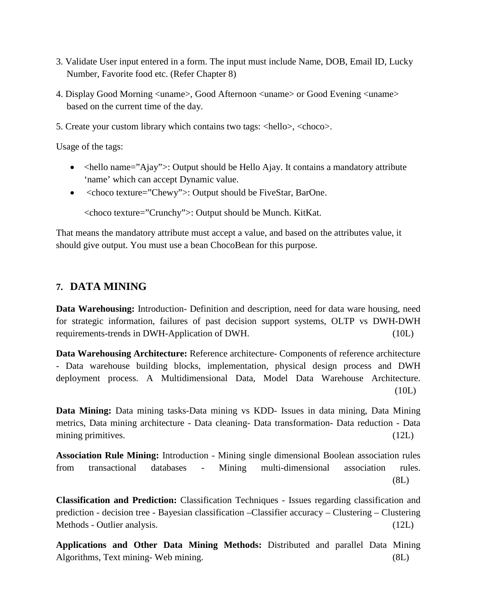- 3. Validate User input entered in a form. The input must include Name, DOB, Email ID, Lucky Number, Favorite food etc. (Refer Chapter 8)
- 4. Display Good Morning <uname>, Good Afternoon <uname> or Good Evening <uname> based on the current time of the day.
- 5. Create your custom library which contains two tags: <hello>, <choco>.

Usage of the tags:

- $\triangleleft$   $\triangleleft$  hello name="Ajay">: Output should be Hello Ajay. It contains a mandatory attribute 'name' which can accept Dynamic value.
- <choco texture="Chewy">: Output should be FiveStar, BarOne.

<choco texture="Crunchy">: Output should be Munch. KitKat.

That means the mandatory attribute must accept a value, and based on the attributes value, it should give output. You must use a bean ChocoBean for this purpose.

#### **7. DATA MINING**

**Data Warehousing:** Introduction- Definition and description, need for data ware housing, need for strategic information, failures of past decision support systems, OLTP vs DWH-DWH requirements-trends in DWH-Application of DWH. (10L)

**Data Warehousing Architecture:** Reference architecture- Components of reference architecture - Data warehouse building blocks, implementation, physical design process and DWH deployment process. A Multidimensional Data, Model Data Warehouse Architecture. (10L)

**Data Mining:** Data mining tasks-Data mining vs KDD- Issues in data mining, Data Mining metrics, Data mining architecture - Data cleaning- Data transformation- Data reduction - Data mining primitives. (12L)

**Association Rule Mining:** Introduction - Mining single dimensional Boolean association rules from transactional databases - Mining multi-dimensional association rules. (8L)

**Classification and Prediction:** Classification Techniques - Issues regarding classification and prediction - decision tree - Bayesian classification –Classifier accuracy – Clustering – Clustering Methods - Outlier analysis. (12L)

**Applications and Other Data Mining Methods:** Distributed and parallel Data Mining Algorithms, Text mining- Web mining. (8L)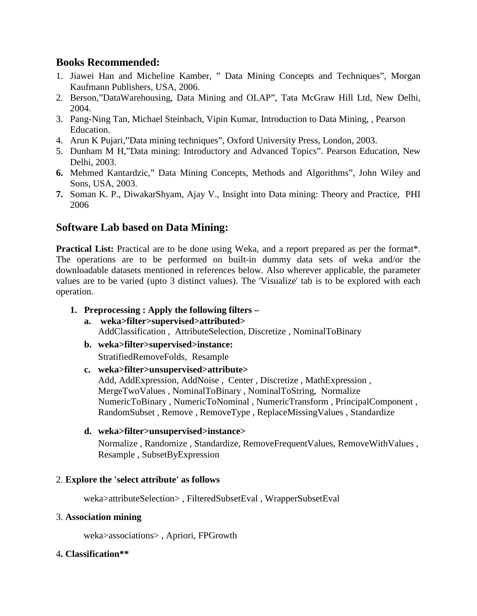#### **Books Recommended:**

- 1. Jiawei Han and Micheline Kamber, " Data Mining Concepts and Techniques", Morgan Kaufmann Publishers, USA, 2006.
- 2. Berson,"DataWarehousing, Data Mining and OLAP", Tata McGraw Hill Ltd, New Delhi, 2004.
- 3. Pang-Ning Tan, Michael Steinbach, Vipin Kumar, Introduction to Data Mining, , Pearson Education.
- 4. Arun K Pujari,"Data mining techniques", Oxford University Press, London, 2003.
- 5. Dunham M H,"Data mining: Introductory and Advanced Topics". Pearson Education, New Delhi, 2003.
- **6.** Mehmed Kantardzic," Data Mining Concepts, Methods and Algorithms", John Wiley and Sons, USA, 2003.
- **7.** Soman K. P., DiwakarShyam, Ajay V., Insight into Data mining: Theory and Practice, PHI 2006

#### **Software Lab based on Data Mining:**

**Practical List:** Practical are to be done using Weka, and a report prepared as per the format\*. The operations are to be performed on built-in dummy data sets of weka and/or the downloadable datasets mentioned in references below. Also wherever applicable, the parameter values are to be varied (upto 3 distinct values). The 'Visualize' tab is to be explored with each operation.

#### **1. Preprocessing : Apply the following filters –**

- **a. weka>filter>supervised>attributed>**  AddClassification , AttributeSelection, Discretize , NominalToBinary
- **b. weka>filter>supervised>instance:**  StratifiedRemoveFolds, Resample

#### **c. weka>filter>unsupervised>attribute>**

Add, AddExpression, AddNoise , Center , Discretize , MathExpression , MergeTwoValues , NominalToBinary , NominalToString, Normalize NumericToBinary , NumericToNominal , NumericTransform , PrincipalComponent , RandomSubset , Remove , RemoveType , ReplaceMissingValues , Standardize

#### **d. weka>filter>unsupervised>instance>**

Normalize , Randomize , Standardize, RemoveFrequentValues, RemoveWithValues , Resample , SubsetByExpression

#### 2. **Explore the 'select attribute' as follows**

weka>attributeSelection> , FilteredSubsetEval , WrapperSubsetEval

#### 3. **Association mining**

weka>associations> , Apriori, FPGrowth

#### 4**. Classification\*\***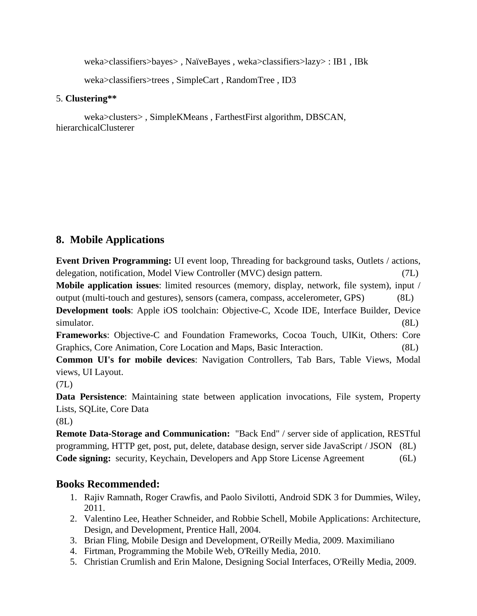weka>classifiers>bayes> , NaïveBayes , weka>classifiers>lazy> : IB1 , IBk

weka>classifiers>trees , SimpleCart , RandomTree , ID3

#### 5. **Clustering\*\***

weka>clusters> , SimpleKMeans , FarthestFirst algorithm, DBSCAN, hierarchicalClusterer

# **8. Mobile Applications**

**Event Driven Programming:** UI event loop, Threading for background tasks, Outlets / actions, delegation, notification, Model View Controller (MVC) design pattern. (7L) **Mobile application issues**: limited resources (memory, display, network, file system), input / output (multi-touch and gestures), sensors (camera, compass, accelerometer, GPS) (8L) **Development tools**: Apple iOS toolchain: Objective-C, Xcode IDE, Interface Builder, Device simulator. (8L)

**Frameworks**: Objective-C and Foundation Frameworks, Cocoa Touch, UIKit, Others: Core Graphics, Core Animation, Core Location and Maps, Basic Interaction. (8L)

**Common UI's for mobile devices**: Navigation Controllers, Tab Bars, Table Views, Modal views, UI Layout.

(7L)

**Data Persistence**: Maintaining state between application invocations, File system, Property Lists, SQLite, Core Data

(8L)

**Remote Data-Storage and Communication:** "Back End" / server side of application, RESTful programming, HTTP get, post, put, delete, database design, server side JavaScript / JSON (8L) **Code signing:** security, Keychain, Developers and App Store License Agreement (6L)

# **Books Recommended:**

- 1. Rajiv Ramnath, Roger Crawfis, and Paolo Sivilotti, Android SDK 3 for Dummies, Wiley, 2011.
- 2. Valentino Lee, Heather Schneider, and Robbie Schell, Mobile Applications: Architecture, Design, and Development, Prentice Hall, 2004.
- 3. Brian Fling, Mobile Design and Development, O'Reilly Media, 2009. Maximiliano
- 4. Firtman, Programming the Mobile Web, O'Reilly Media, 2010.
- 5. Christian Crumlish and Erin Malone, Designing Social Interfaces, O'Reilly Media, 2009.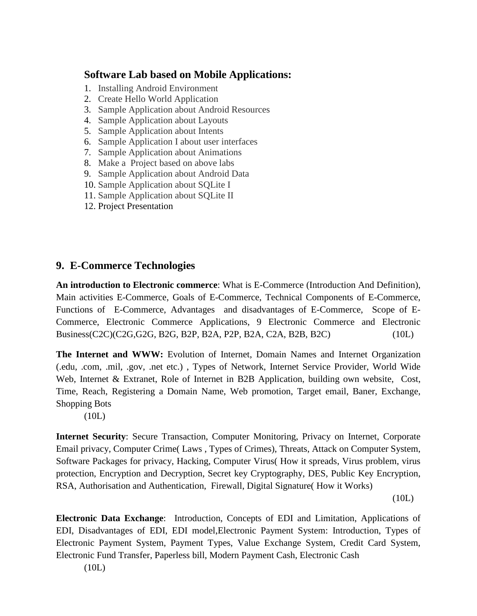# **Software Lab based on Mobile Applications:**

- 1. Installing Android Environment
- 2. Create Hello World Application
- 3. Sample Application about Android Resources
- 4. Sample Application about Layouts
- 5. Sample Application about Intents
- 6. Sample Application I about user interfaces
- 7. Sample Application about Animations
- 8. Make a Project based on above labs
- 9. Sample Application about Android Data
- 10. Sample Application about SQLite I
- 11. Sample Application about SQLite II
- 12. Project Presentation

# **9. E-Commerce Technologies**

**An introduction to Electronic commerce**: What is E-Commerce (Introduction And Definition), Main activities E-Commerce, Goals of E-Commerce, Technical Components of E-Commerce, Functions of E-Commerce, Advantages and disadvantages of E-Commerce, Scope of E-Commerce, Electronic Commerce Applications, 9 Electronic Commerce and Electronic Business(C2C)(C2G,G2G, B2G, B2P, B2A, P2P, B2A, C2A, B2B, B2C) (10L)

**The Internet and WWW:** Evolution of Internet, Domain Names and Internet Organization (.edu, .com, .mil, .gov, .net etc.) , Types of Network, Internet Service Provider, World Wide Web, Internet & Extranet, Role of Internet in B2B Application, building own website, Cost, Time, Reach, Registering a Domain Name, Web promotion, Target email, Baner, Exchange, Shopping Bots

(10L)

**Internet Security**: Secure Transaction, Computer Monitoring, Privacy on Internet, Corporate Email privacy, Computer Crime( Laws , Types of Crimes), Threats, Attack on Computer System, Software Packages for privacy, Hacking, Computer Virus( How it spreads, Virus problem, virus protection, Encryption and Decryption, Secret key Cryptography, DES, Public Key Encryption, RSA, Authorisation and Authentication, Firewall, Digital Signature( How it Works)

(10L)

**Electronic Data Exchange**: Introduction, Concepts of EDI and Limitation, Applications of EDI, Disadvantages of EDI, EDI model,Electronic Payment System: Introduction, Types of Electronic Payment System, Payment Types, Value Exchange System, Credit Card System, Electronic Fund Transfer, Paperless bill, Modern Payment Cash, Electronic Cash

(10L)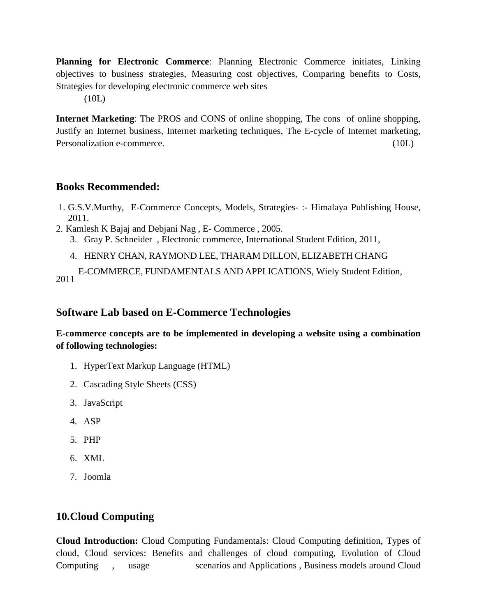**Planning for Electronic Commerce**: Planning Electronic Commerce initiates, Linking objectives to business strategies, Measuring cost objectives, Comparing benefits to Costs, Strategies for developing electronic commerce web sites

(10L)

**Internet Marketing**: The PROS and CONS of online shopping, The cons of online shopping, Justify an Internet business, Internet marketing techniques, The E-cycle of Internet marketing, Personalization e-commerce. (10L)

#### **Books Recommended:**

- 1. G.S.V.Murthy, E-Commerce Concepts, Models, Strategies- :- Himalaya Publishing House, 2011.
- 2. Kamlesh K Bajaj and Debjani Nag , E- Commerce , 2005.
	- 3. Gray P. Schneider , Electronic commerce, International Student Edition, 2011,
		- 4. HENRY CHAN, RAYMOND LEE, THARAM DILLON, ELIZABETH CHANG

E-COMMERCE, FUNDAMENTALS AND APPLICATIONS, Wiely Student Edition, 2011

## **Software Lab based on E-Commerce Technologies**

**E-commerce concepts are to be implemented in developing a website using a combination of following technologies:**

- 1. HyperText Markup Language (HTML)
- 2. Cascading Style Sheets (CSS)
- 3. JavaScript
- 4. ASP
- 5. PHP
- 6. XML
- 7. Joomla

# **10.Cloud Computing**

**Cloud Introduction:** Cloud Computing Fundamentals: Cloud Computing definition, Types of cloud, Cloud services: Benefits and challenges of cloud computing, Evolution of Cloud Computing , usage scenarios and Applications , Business models around Cloud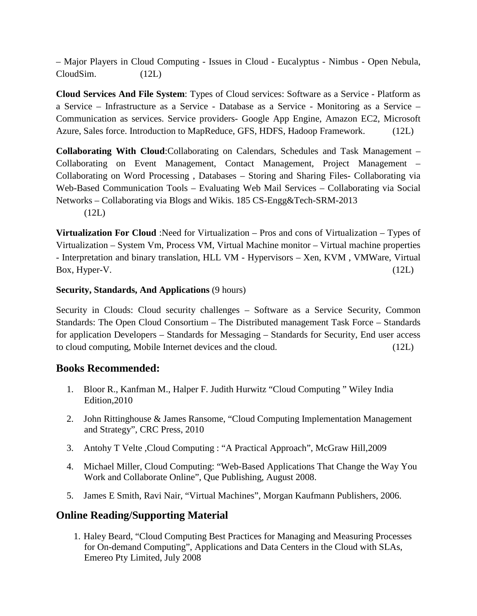– Major Players in Cloud Computing - Issues in Cloud - Eucalyptus - Nimbus - Open Nebula, CloudSim. (12L)

**Cloud Services And File System**: Types of Cloud services: Software as a Service - Platform as a Service – Infrastructure as a Service - Database as a Service - Monitoring as a Service – Communication as services. Service providers- Google App Engine, Amazon EC2, Microsoft Azure, Sales force. Introduction to MapReduce, GFS, HDFS, Hadoop Framework. (12L)

**Collaborating With Cloud**:Collaborating on Calendars, Schedules and Task Management – Collaborating on Event Management, Contact Management, Project Management – Collaborating on Word Processing , Databases – Storing and Sharing Files- Collaborating via Web-Based Communication Tools – Evaluating Web Mail Services – Collaborating via Social Networks – Collaborating via Blogs and Wikis. 185 CS-Engg&Tech-SRM-2013 (12L)

**Virtualization For Cloud** :Need for Virtualization – Pros and cons of Virtualization – Types of Virtualization – System Vm, Process VM, Virtual Machine monitor – Virtual machine properties - Interpretation and binary translation, HLL VM - Hypervisors – Xen, KVM , VMWare, Virtual  $Box, Hyper-V.$  (12L)

#### **Security, Standards, And Applications** (9 hours)

Security in Clouds: Cloud security challenges – Software as a Service Security, Common Standards: The Open Cloud Consortium – The Distributed management Task Force – Standards for application Developers – Standards for Messaging – Standards for Security, End user access to cloud computing, Mobile Internet devices and the cloud. (12L)

#### **Books Recommended:**

- 1. Bloor R., Kanfman M., Halper F. Judith Hurwitz "Cloud Computing " Wiley India Edition,2010
- 2. John Rittinghouse & James Ransome, "Cloud Computing Implementation Management and Strategy", CRC Press, 2010
- 3. Antohy T Velte ,Cloud Computing : "A Practical Approach", McGraw Hill,2009
- 4. Michael Miller, Cloud Computing: "Web-Based Applications That Change the Way You Work and Collaborate Online", Que Publishing, August 2008.
- 5. James E Smith, Ravi Nair, "Virtual Machines", Morgan Kaufmann Publishers, 2006.

# **Online Reading/Supporting Material**

1. Haley Beard, "Cloud Computing Best Practices for Managing and Measuring Processes for On-demand Computing", Applications and Data Centers in the Cloud with SLAs, Emereo Pty Limited, July 2008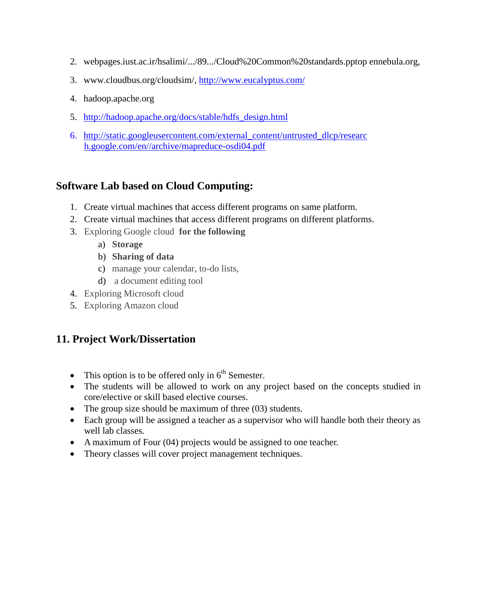- 2. webpages.iust.ac.ir/hsalimi/.../89.../Cloud%20Common%20standards.pptop ennebula.org,
- 3. www.cloudbus.org/cloudsim/,<http://www.eucalyptus.com/>
- 4. hadoop.apache.org
- 5. [http://hadoop.apache.org/docs/stable/hdfs\\_design.html](http://hadoop.apache.org/docs/stable/hdfs_design.html)
- 6. [http://static.googleusercontent.com/external\\_content/untrusted\\_dlcp/researc](http://static.googleusercontent.com/external_content/untrusted_dlcp/researc%20h.google.com/en/archive/mapreduce-osdi04.pdf)  [h.google.com/en//archive/mapreduce-osdi04.pdf](http://static.googleusercontent.com/external_content/untrusted_dlcp/researc%20h.google.com/en/archive/mapreduce-osdi04.pdf)

# **Software Lab based on Cloud Computing:**

- 1. Create virtual machines that access different programs on same platform.
- 2. Create virtual machines that access different programs on different platforms.
- 3. Exploring Google cloud **for the following**
	- a) **Storage**
	- b) **Sharing of data**
	- c) manage your calendar, to-do lists,
	- d) a document editing tool
- 4. Exploring Microsoft cloud
- 5. Exploring Amazon cloud

# **11. Project Work/Dissertation**

- This option is to be offered only in  $6<sup>th</sup>$  Semester.
- The students will be allowed to work on any project based on the concepts studied in core/elective or skill based elective courses.
- The group size should be maximum of three (03) students.
- Each group will be assigned a teacher as a supervisor who will handle both their theory as well lab classes.
- A maximum of Four (04) projects would be assigned to one teacher.
- Theory classes will cover project management techniques.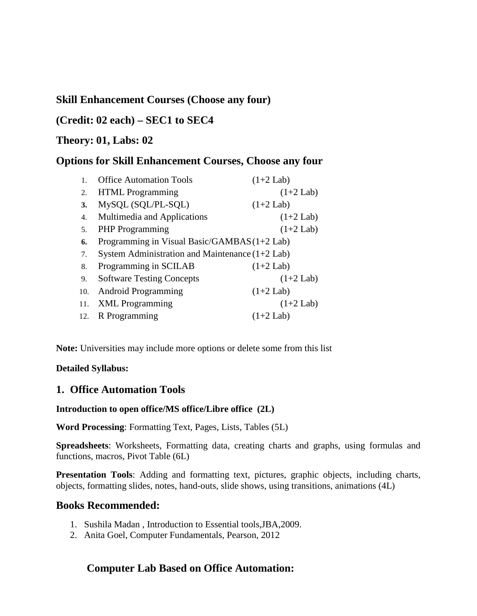# **Skill Enhancement Courses (Choose any four)**

# **(Credit: 02 each) – SEC1 to SEC4**

#### **Theory: 01, Labs: 02**

## **Options for Skill Enhancement Courses, Choose any four**

|     | <b>Office Automation Tools</b>                    | $(1+2$ Lab) |
|-----|---------------------------------------------------|-------------|
| 2.  | <b>HTML</b> Programming                           | $(1+2$ Lab) |
| 3.  | MySQL (SQL/PL-SQL)                                | $(1+2$ Lab) |
| 4.  | Multimedia and Applications                       | $(1+2$ Lab) |
| 5.  | <b>PHP</b> Programming                            | $(1+2$ Lab) |
| 6.  | Programming in Visual Basic/GAMBAS (1+2 Lab)      |             |
| 7.  | System Administration and Maintenance $(1+2$ Lab) |             |
| 8.  | Programming in SCILAB                             | $(1+2$ Lab) |
| 9.  | <b>Software Testing Concepts</b>                  | $(1+2$ Lab) |
| 10. | <b>Android Programming</b>                        | $(1+2$ Lab) |
| 11. | <b>XML</b> Programming                            | $(1+2$ Lab) |
| 12. | R Programming                                     | $(1+2$ Lab) |

**Note:** Universities may include more options or delete some from this list

#### **Detailed Syllabus:**

#### **1. Office Automation Tools**

#### **Introduction to open office/MS office/Libre office (2L)**

**Word Processing**: Formatting Text, Pages, Lists, Tables (5L)

**Spreadsheets**: Worksheets, Formatting data, creating charts and graphs, using formulas and functions, macros, Pivot Table (6L)

**Presentation Tools**: Adding and formatting text, pictures, graphic objects, including charts, objects, formatting slides, notes, hand-outs, slide shows, using transitions, animations (4L)

#### **Books Recommended:**

- 1. Sushila Madan , Introduction to Essential tools,JBA,2009.
- 2. Anita Goel, Computer Fundamentals, Pearson, 2012

#### **Computer Lab Based on Office Automation:**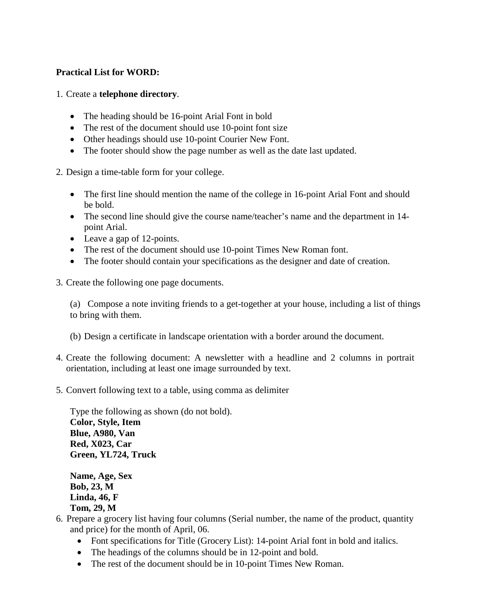#### **Practical List for WORD:**

#### 1. Create a **telephone directory**.

- The heading should be 16-point Arial Font in bold
- The rest of the document should use 10-point font size
- Other headings should use 10-point Courier New Font.
- The footer should show the page number as well as the date last updated.

2. Design a time-table form for your college.

- The first line should mention the name of the college in 16-point Arial Font and should be bold.
- The second line should give the course name/teacher's name and the department in 14point Arial.
- Leave a gap of 12-points.
- The rest of the document should use 10-point Times New Roman font.
- The footer should contain your specifications as the designer and date of creation.
- 3. Create the following one page documents.

(a) Compose a note inviting friends to a get-together at your house, including a list of things to bring with them.

- (b) Design a certificate in landscape orientation with a border around the document.
- 4. Create the following document: A newsletter with a headline and 2 columns in portrait orientation, including at least one image surrounded by text.
- 5. Convert following text to a table, using comma as delimiter

Type the following as shown (do not bold). **Color, Style, Item Blue, A980, Van Red, X023, Car Green, YL724, Truck**

**Name, Age, Sex Bob, 23, M Linda, 46, F Tom, 29, M**

- 6. Prepare a grocery list having four columns (Serial number, the name of the product, quantity and price) for the month of April, 06.
	- Font specifications for Title (Grocery List): 14-point Arial font in bold and italics.
	- The headings of the columns should be in 12-point and bold.
	- The rest of the document should be in 10-point Times New Roman.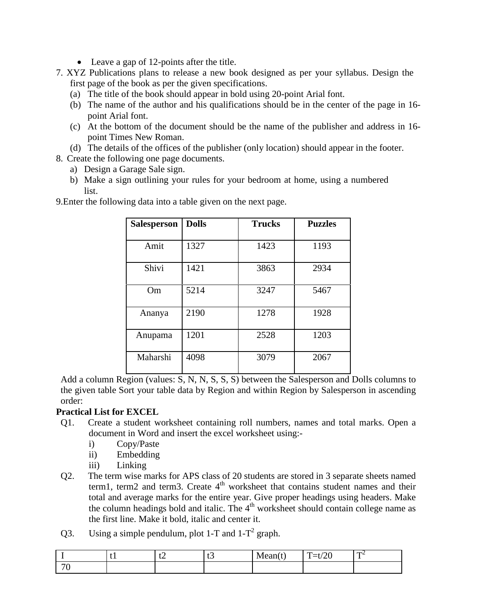- Leave a gap of 12-points after the title.
- 7. XYZ Publications plans to release a new book designed as per your syllabus. Design the first page of the book as per the given specifications.
	- (a) The title of the book should appear in bold using 20-point Arial font.
	- (b) The name of the author and his qualifications should be in the center of the page in 16 point Arial font.
	- (c) At the bottom of the document should be the name of the publisher and address in 16 point Times New Roman.
	- (d) The details of the offices of the publisher (only location) should appear in the footer.
- 8. Create the following one page documents.
	- a) Design a Garage Sale sign.
	- b) Make a sign outlining your rules for your bedroom at home, using a numbered list.

| <b>Salesperson</b> | <b>Dolls</b> | <b>Trucks</b> | <b>Puzzles</b> |
|--------------------|--------------|---------------|----------------|
| Amit               | 1327         | 1423          | 1193           |
| Shivi              | 1421         | 3863          | 2934           |
| Om                 | 5214         | 3247          | 5467           |
| Ananya             | 2190         | 1278          | 1928           |
| Anupama            | 1201         | 2528          | 1203           |
| Maharshi           | 4098         | 3079          | 2067           |

9.Enter the following data into a table given on the next page.

Add a column Region (values: S, N, N, S, S, S) between the Salesperson and Dolls columns to the given table Sort your table data by Region and within Region by Salesperson in ascending order:

#### **Practical List for EXCEL**

- Q1. Create a student worksheet containing roll numbers, names and total marks. Open a document in Word and insert the excel worksheet using:
	- i) Copy/Paste
	- ii) Embedding
	- iii) Linking
- Q2. The term wise marks for APS class of 20 students are stored in 3 separate sheets named term1, term2 and term3. Create  $4<sup>th</sup>$  worksheet that contains student names and their total and average marks for the entire year. Give proper headings using headers. Make the column headings bold and italic. The  $4<sup>th</sup>$  worksheet should contain college name as the first line. Make it bold, italic and center it.
- Q3. Using a simple pendulum, plot 1-T and  $1-T^2$  graph.

|                                 | . . | $\mathbf{r}$<br>└∠ | ັ | --<br>$.$ ean $($ <sup>+</sup><br>w | $\sqrt{2}$<br>$\mathbf{r}$<br>_<br>__<br>$\omega$<br>$\cdot$<br>- | TD 4 |
|---------------------------------|-----|--------------------|---|-------------------------------------|-------------------------------------------------------------------|------|
| $\overline{\phantom{a}}$<br>. . |     |                    |   |                                     |                                                                   |      |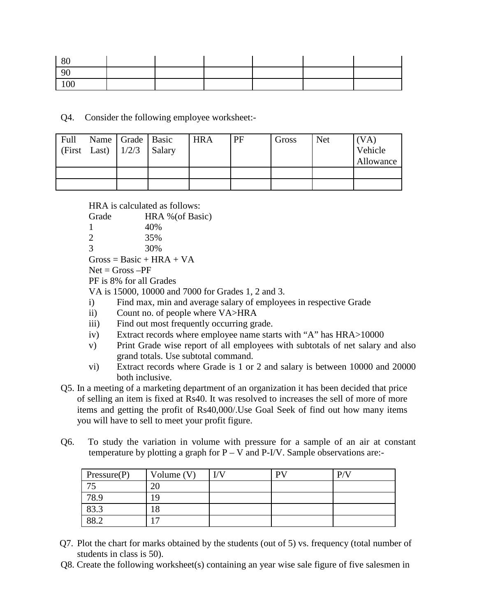| 80  |  |  |  |
|-----|--|--|--|
| 90  |  |  |  |
| 100 |  |  |  |

Q4. Consider the following employee worksheet:-

| Full | Name   Grade   Basic<br>(First Last) $\left  \frac{1}{2/3} \right $ Salary |  | <b>HRA</b> | PF | Gross | <b>Net</b> | (VA)<br>Vehicle<br>Allowance |
|------|----------------------------------------------------------------------------|--|------------|----|-------|------------|------------------------------|
|      |                                                                            |  |            |    |       |            |                              |
|      |                                                                            |  |            |    |       |            |                              |

HRA is calculated as follows:

| Grade                     | HRA % (of Basic)                                                            |
|---------------------------|-----------------------------------------------------------------------------|
|                           |                                                                             |
| 1                         | 40%                                                                         |
| 2                         | 35%                                                                         |
| 3                         | 30%                                                                         |
|                           | $Gross = Basic + HRA + VA$                                                  |
|                           | $Net = Gross -PF$                                                           |
|                           | PF is 8% for all Grades                                                     |
|                           | VA is 15000, 10000 and 7000 for Grades 1, 2 and 3.                          |
| $\ddot{\text{i}}$         | Find max, min and average salary of employees in respective Grade           |
| $\rm ii)$                 | Count no. of people where VA>HRA                                            |
| iii)                      | Find out most frequently occurring grade.                                   |
| $\mathbf{1}_{\mathbf{r}}$ | Extract records where employee name starts with $4.4$ " has HD $4\times100$ |

- iv) Extract records where employee name starts with "A" has HRA>10000
- v) Print Grade wise report of all employees with subtotals of net salary and also grand totals. Use subtotal command.
- vi) Extract records where Grade is 1 or 2 and salary is between 10000 and 20000 both inclusive.
- Q5. In a meeting of a marketing department of an organization it has been decided that price of selling an item is fixed at Rs40. It was resolved to increases the sell of more of more items and getting the profit of Rs40,000/.Use Goal Seek of find out how many items you will have to sell to meet your profit figure.
- Q6. To study the variation in volume with pressure for a sample of an air at constant temperature by plotting a graph for  $P - V$  and  $P-V$ . Sample observations are:-

| Pressure(P) | Volume $(V)$ | I/V | DV | D/N |
|-------------|--------------|-----|----|-----|
| 7c          |              |     |    |     |
| 78.9        | 9            |     |    |     |
| 83.3        |              |     |    |     |
| 88.2        |              |     |    |     |

- Q7. Plot the chart for marks obtained by the students (out of 5) vs. frequency (total number of students in class is 50).
- Q8. Create the following worksheet(s) containing an year wise sale figure of five salesmen in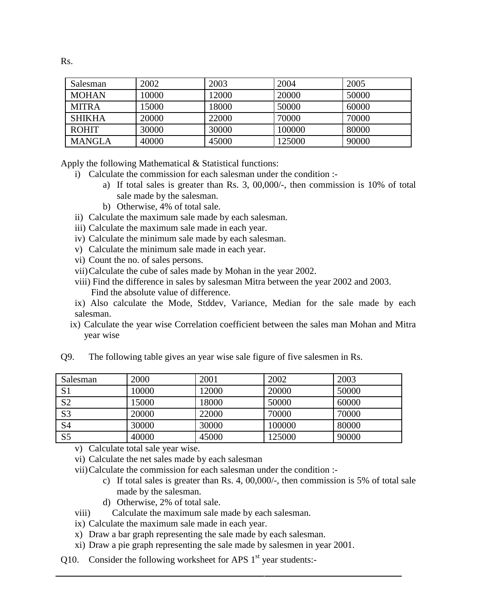| Salesman      | 2002  | 2003  | 2004   | 2005  |
|---------------|-------|-------|--------|-------|
| <b>MOHAN</b>  | 10000 | 12000 | 20000  | 50000 |
| <b>MITRA</b>  | 15000 | 18000 | 50000  | 60000 |
| <b>SHIKHA</b> | 20000 | 22000 | 70000  | 70000 |
| <b>ROHIT</b>  | 30000 | 30000 | 100000 | 80000 |
| <b>MANGLA</b> | 40000 | 45000 | 125000 | 90000 |

Apply the following Mathematical & Statistical functions:

- i) Calculate the commission for each salesman under the condition :
	- a) If total sales is greater than Rs. 3, 00,000/-, then commission is 10% of total sale made by the salesman.
	- b) Otherwise, 4% of total sale.
- ii) Calculate the maximum sale made by each salesman.
- iii) Calculate the maximum sale made in each year.
- iv) Calculate the minimum sale made by each salesman.
- v) Calculate the minimum sale made in each year.
- vi) Count the no. of sales persons.
- vii)Calculate the cube of sales made by Mohan in the year 2002.
- viii) Find the difference in sales by salesman Mitra between the year 2002 and 2003. Find the absolute value of difference.
- ix) Also calculate the Mode, Stddev, Variance, Median for the sale made by each salesman.
- ix) Calculate the year wise Correlation coefficient between the sales man Mohan and Mitra year wise

| Salesman       | 2000  | 2001  | 2002   | 2003  |
|----------------|-------|-------|--------|-------|
| S <sub>1</sub> | 10000 | 12000 | 20000  | 50000 |
| S <sub>2</sub> | 15000 | 18000 | 50000  | 60000 |
| S <sub>3</sub> | 20000 | 22000 | 70000  | 70000 |
| S <sub>4</sub> | 30000 | 30000 | 100000 | 80000 |
| S <sub>5</sub> | 40000 | 45000 | 125000 | 90000 |

Q9. The following table gives an year wise sale figure of five salesmen in Rs.

v) Calculate total sale year wise.

vi) Calculate the net sales made by each salesman

vii)Calculate the commission for each salesman under the condition :-

- c) If total sales is greater than Rs. 4, 00,000/-, then commission is 5% of total sale made by the salesman.
- d) Otherwise, 2% of total sale.
- viii) Calculate the maximum sale made by each salesman.
- ix) Calculate the maximum sale made in each year.
- x) Draw a bar graph representing the sale made by each salesman.
- xi) Draw a pie graph representing the sale made by salesmen in year 2001.
- Q10. Consider the following worksheet for APS  $1<sup>st</sup>$  year students:-

Rs.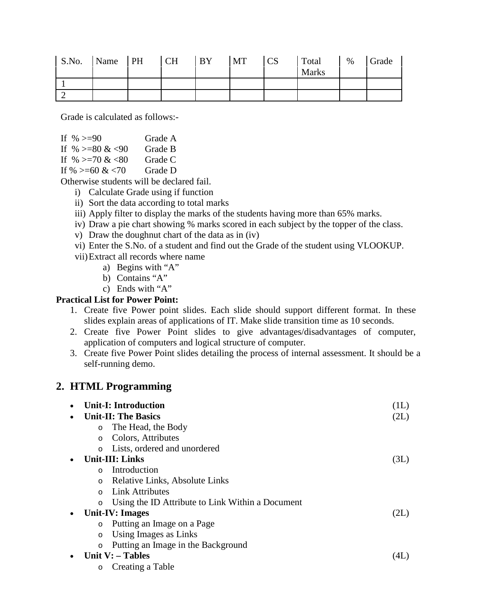| S.No. | Name PH | CH | <b>BY</b> | <b>MT</b> | <b>CS</b> | Total<br><b>Marks</b> | $\%$ | Grade |
|-------|---------|----|-----------|-----------|-----------|-----------------------|------|-------|
|       |         |    |           |           |           |                       |      |       |
|       |         |    |           |           |           |                       |      |       |

Grade is calculated as follows:-

If  $\% > = 90$  Grade A If  $\% > = 80 \< 90$  Grade B If  $\% > = 70 \& 80$  Grade C If  $\% > = 60 \& 70$  Grade D

Otherwise students will be declared fail.

- i) Calculate Grade using if function
- ii) Sort the data according to total marks
- iii) Apply filter to display the marks of the students having more than 65% marks.
- iv) Draw a pie chart showing % marks scored in each subject by the topper of the class.
- v) Draw the doughnut chart of the data as in (iv)
- vi) Enter the S.No. of a student and find out the Grade of the student using VLOOKUP.
- vii)Extract all records where name
	- a) Begins with "A"
	- b) Contains "A"
	- c) Ends with "A"

#### **Practical List for Power Point:**

- 1. Create five Power point slides. Each slide should support different format. In these slides explain areas of applications of IT. Make slide transition time as 10 seconds.
- 2. Create five Power Point slides to give advantages/disadvantages of computer, application of computers and logical structure of computer.
- 3. Create five Power Point slides detailing the process of internal assessment. It should be a self-running demo.

# **2. HTML Programming**

|         | <b>Unit-I: Introduction</b>                      | (1L) |
|---------|--------------------------------------------------|------|
|         | <b>Unit-II: The Basics</b>                       | (2L) |
| $\circ$ | The Head, the Body                               |      |
| $\circ$ | Colors, Attributes                               |      |
|         | Lists, ordered and unordered                     |      |
|         | <b>Unit-III: Links</b>                           | (3L) |
|         | Introduction                                     |      |
| $\circ$ | Relative Links, Absolute Links                   |      |
| $\cap$  | <b>Link Attributes</b>                           |      |
| $\circ$ | Using the ID Attribute to Link Within a Document |      |
|         | Unit-IV: Images                                  | (2L) |
| $\circ$ | Putting an Image on a Page                       |      |
| $\circ$ | Using Images as Links                            |      |
| $\circ$ | Putting an Image in the Background               |      |
|         | Unit $V:$ – Tables                               | (4L) |
|         | Creating a Table                                 |      |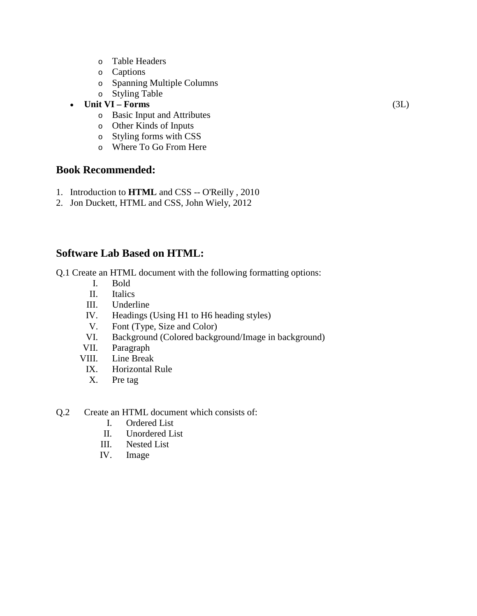- o Table Headers
- o Captions
- o Spanning Multiple Columns
- o Styling Table
- **Unit VI – Forms** (3L)
	- o Basic Input and Attributes
	- o Other Kinds of Inputs
	- o Styling forms with CSS
	- o Where To Go From Here

#### **Book Recommended:**

- 1. Introduction to **HTML** and CSS -- O'Reilly , 2010
- 2. Jon Duckett, HTML and CSS, John Wiely, 2012

# **Software Lab Based on HTML:**

Q.1 Create an HTML document with the following formatting options:

- I. Bold
- II. Italics
- III. Underline
- IV. Headings (Using H1 to H6 heading styles)
- V. Font (Type, Size and Color)<br>VI. Background (Colored backgr
- Background (Colored background/Image in background)
- VII. Paragraph
- VIII. Line Break
- IX. Horizontal Rule
	- X. Pre tag
- Q.2 Create an HTML document which consists of:
	- I. Ordered List
	- II. Unordered List
	- III. Nested List
	- IV. Image

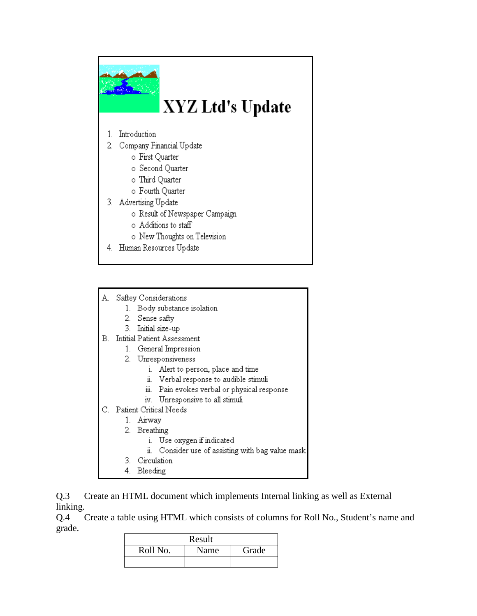

- A. Saftey Considerations
	- 1. Body substance isolation
	- 2. Sense safty
	- 3. Initial size-up
- **B.** Intitial Patient Assessment
	- 1. General Impression
	- 2. Unresponsiveness
		- i. Alert to person, place and time
		- ii. Verbal response to audible stimuli
		- iii. Pain evokes verbal or physical response
		- iv. Unresponsive to all stimuli
- C. Patient Critical Needs
	- 1. Airway
		- 2. Breathing
			- i. Use oxygen if indicated
			- ii. Consider use of assisting with bag value mask
		- 3. Circulation
	- 4. Bleeding
- Q.3 Create an HTML document which implements Internal linking as well as External linking.

Q.4 Create a table using HTML which consists of columns for Roll No., Student's name and grade.

|          | Result |       |
|----------|--------|-------|
| Roll No. | Name   | Grade |
|          |        |       |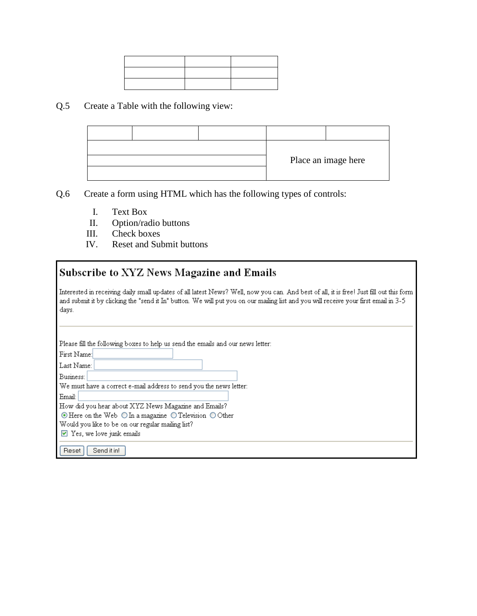#### Q.5 Create a Table with the following view:

|  | Place an image here |  |
|--|---------------------|--|
|  |                     |  |

- Q.6 Create a form using HTML which has the following types of controls:
	- I. Text Box
	- II. Option/radio buttons
	- III. Check boxes
	- IV. Reset and Submit buttons

# Subscribe to XYZ News Magazine and Emails

Interested in receiving daily small updates of all latest News? Well, now you can. And best of all, it is free! Just fill out this form and submit it by clicking the "send it In" button. We will put you on our mailing list and you will receive your first email in 3-5 days.

Please fill the following boxes to help us send the emails and our news letter:

First Name: Last Name:

Business:

We must have a correct e-mail address to send you the news letter:

Email: How did you hear about XYZ News Magazine and Emails?

⊙ Here on the Web O In a magazine O Television O Other

Would you like to be on our regular mailing list?

 $\vee$  Yes, we love junk emails

Reset Send it in!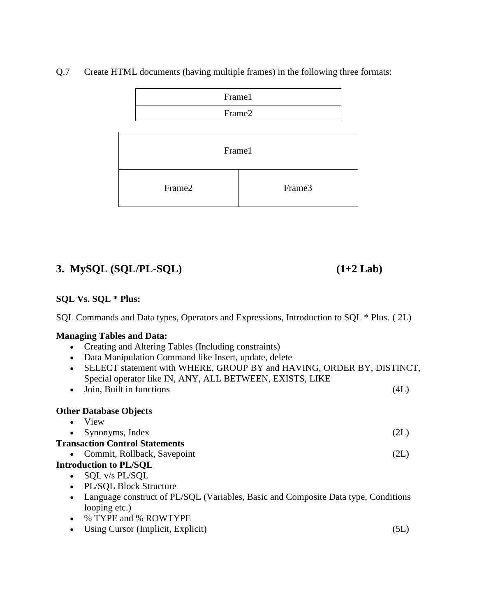

Q.7 Create HTML documents (having multiple frames) in the following three formats:

# **3. MySQL (SQL/PL-SQL) (1+2 Lab)**

# **SQL Vs. SQL \* Plus:**

SQL Commands and Data types, Operators and Expressions, Introduction to SQL \* Plus. ( 2L)

#### **Managing Tables and Data:**

- Creating and Altering Tables (Including constraints)
- Data Manipulation Command like Insert, update, delete
- SELECT statement with WHERE, GROUP BY and HAVING, ORDER BY, DISTINCT, Special operator like IN, ANY, ALL BETWEEN, EXISTS, LIKE
- Join, Built in functions (4L)

#### **Other Database Objects**

| View                                                                                            |      |
|-------------------------------------------------------------------------------------------------|------|
| Synonyms, Index                                                                                 | (2L) |
| <b>Transaction Control Statements</b>                                                           |      |
| • Commit, Rollback, Savepoint                                                                   | (2L) |
| <b>Introduction to PL/SQL</b>                                                                   |      |
| SQL v/s PL/SQL                                                                                  |      |
| PL/SQL Block Structure<br>$\bullet$                                                             |      |
| Language construct of PL/SQL (Variables, Basic and Composite Data type, Conditions<br>$\bullet$ |      |
| looping etc.)                                                                                   |      |
| % TYPE and % ROWTYPE                                                                            |      |
| Using Cursor (Implicit, Explicit)                                                               | 5L   |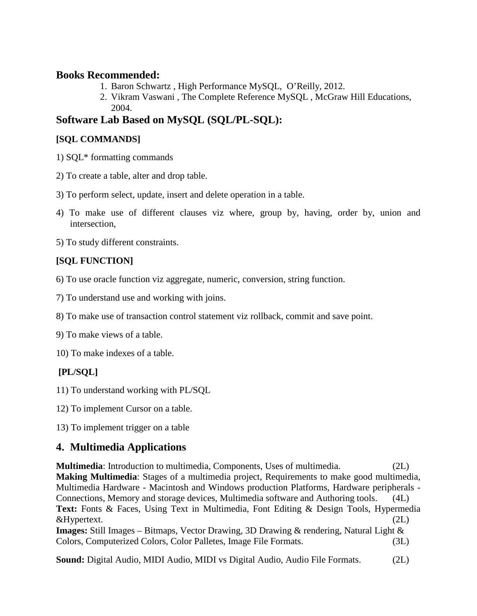#### **Books Recommended:**

- 1. Baron Schwartz , High Performance MySQL, O'Reilly, 2012.
- 2. Vikram Vaswani , The Complete Reference MySQL , McGraw Hill Educations, 2004.

# **Software Lab Based on MySQL (SQL/PL-SQL):**

# **[SQL COMMANDS]**

- 1) SQL\* formatting commands
- 2) To create a table, alter and drop table.
- 3) To perform select, update, insert and delete operation in a table.
- 4) To make use of different clauses viz where, group by, having, order by, union and intersection,
- 5) To study different constraints.

# **[SQL FUNCTION]**

- 6) To use oracle function viz aggregate, numeric, conversion, string function.
- 7) To understand use and working with joins.
- 8) To make use of transaction control statement viz rollback, commit and save point.
- 9) To make views of a table.
- 10) To make indexes of a table.

# **[PL/SQL]**

- 11) To understand working with PL/SQL
- 12) To implement Cursor on a table.
- 13) To implement trigger on a table

# **4. Multimedia Applications**

**Multimedia:** Introduction to multimedia, Components, Uses of multimedia. (2L) **Making Multimedia**: Stages of a multimedia project, Requirements to make good multimedia, Multimedia Hardware - Macintosh and Windows production Platforms, Hardware peripherals - Connections, Memory and storage devices, Multimedia software and Authoring tools. (4L) Text: Fonts & Faces, Using Text in Multimedia, Font Editing & Design Tools, Hypermedia &Hypertext. (2L) **Images:** Still Images – Bitmaps, Vector Drawing, 3D Drawing & rendering, Natural Light & Colors, Computerized Colors, Color Palletes, Image File Formats. (3L)

**Sound:** Digital Audio, MIDI Audio, MIDI vs Digital Audio, Audio File Formats. (2L)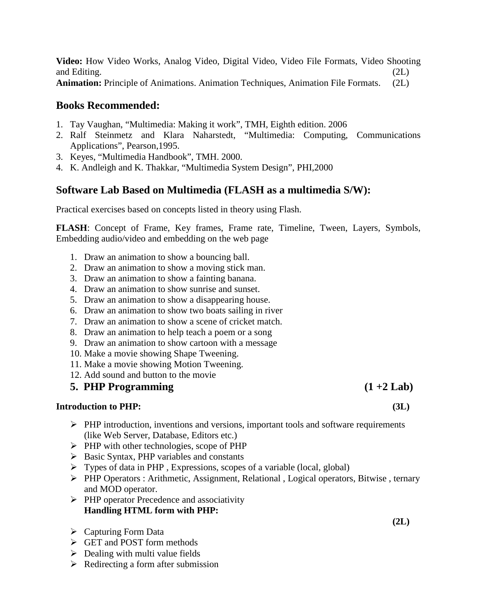**Video:** How Video Works, Analog Video, Digital Video, Video File Formats, Video Shooting and Editing. (2L) **Animation:** Principle of Animations. Animation Techniques, Animation File Formats. (2L)

#### **Books Recommended:**

- 1. Tay Vaughan, "Multimedia: Making it work", TMH, Eighth edition. 2006
- 2. Ralf Steinmetz and Klara Naharstedt, "Multimedia: Computing, Communications Applications", Pearson,1995.
- 3. Keyes, "Multimedia Handbook", TMH. 2000.
- 4. K. Andleigh and K. Thakkar, "Multimedia System Design", PHI,2000

#### **Software Lab Based on Multimedia (FLASH as a multimedia S/W):**

Practical exercises based on concepts listed in theory using Flash.

**FLASH**: Concept of Frame, Key frames, Frame rate, Timeline, Tween, Layers, Symbols, Embedding audio/video and embedding on the web page

- 1. Draw an animation to show a bouncing ball.
- 2. Draw an animation to show a moving stick man.
- 3. Draw an animation to show a fainting banana.
- 4. Draw an animation to show sunrise and sunset.
- 5. Draw an animation to show a disappearing house.
- 6. Draw an animation to show two boats sailing in river
- 7. Draw an animation to show a scene of cricket match.
- 8. Draw an animation to help teach a poem or a song
- 9. Draw an animation to show cartoon with a message
- 10. Make a movie showing Shape Tweening.
- 11. Make a movie showing Motion Tweening.
- 12. Add sound and button to the movie

#### **5. PHP Programming (1 +2 Lab)**

#### **Introduction to PHP: (3L)**

- $\triangleright$  PHP introduction, inventions and versions, important tools and software requirements (like Web Server, Database, Editors etc.)
- $\triangleright$  PHP with other technologies, scope of PHP
- $\triangleright$  Basic Syntax, PHP variables and constants
- $\triangleright$  Types of data in PHP, Expressions, scopes of a variable (local, global)
- PHP Operators : Arithmetic, Assignment, Relational , Logical operators, Bitwise , ternary and MOD operator.

**(2L)**

- $\triangleright$  PHP operator Precedence and associativity **Handling HTML form with PHP:**
- Capturing Form Data
- GET and POST form methods
- $\triangleright$  Dealing with multi value fields
- $\triangleright$  Redirecting a form after submission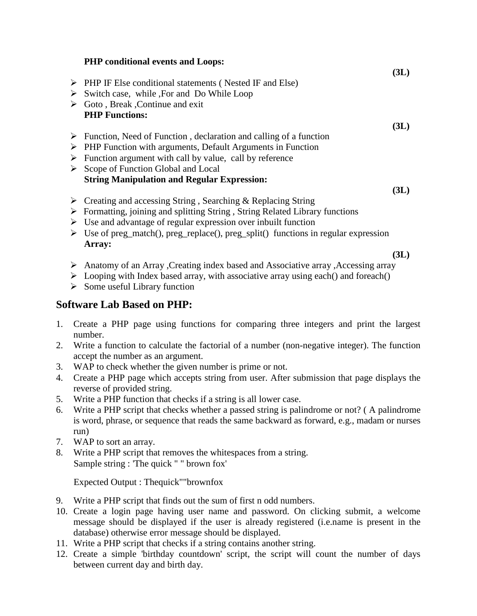| <b>PHP</b> conditional events and Loops:                                                                                                                                                                                                                                                                          |      |
|-------------------------------------------------------------------------------------------------------------------------------------------------------------------------------------------------------------------------------------------------------------------------------------------------------------------|------|
| $\triangleright$ PHP IF Else conditional statements (Nested IF and Else)                                                                                                                                                                                                                                          | (3L) |
| $\triangleright$ Switch case, while For and Do While Loop                                                                                                                                                                                                                                                         |      |
| $\triangleright$ Goto, Break, Continue and exit                                                                                                                                                                                                                                                                   |      |
| <b>PHP Functions:</b>                                                                                                                                                                                                                                                                                             |      |
|                                                                                                                                                                                                                                                                                                                   | (3L) |
| $\triangleright$ Function, Need of Function, declaration and calling of a function                                                                                                                                                                                                                                |      |
| $\triangleright$ PHP Function with arguments, Default Arguments in Function                                                                                                                                                                                                                                       |      |
| $\triangleright$ Function argument with call by value, call by reference                                                                                                                                                                                                                                          |      |
| $\triangleright$ Scope of Function Global and Local                                                                                                                                                                                                                                                               |      |
| <b>String Manipulation and Regular Expression:</b>                                                                                                                                                                                                                                                                |      |
|                                                                                                                                                                                                                                                                                                                   | 3L)  |
| $\mathcal{N}$ and $\mathcal{N}$ and $\mathcal{N}$ and $\mathcal{N}$ and $\mathcal{N}$ and $\mathcal{N}$ and $\mathcal{N}$ and $\mathcal{N}$ and $\mathcal{N}$ and $\mathcal{N}$ and $\mathcal{N}$ and $\mathcal{N}$ and $\mathcal{N}$ and $\mathcal{N}$ and $\mathcal{N}$ and $\mathcal{N}$ and $\mathcal{N}$ and |      |

- $\triangleright$  Creating and accessing String, Searching & Replacing String
- Formatting, joining and splitting String , String Related Library functions
- $\triangleright$  Use and advantage of regular expression over inbuilt function
- $\triangleright$  Use of preg\_match(), preg\_replace(), preg\_split() functions in regular expression **Array:**

**(3L)**

- Anatomy of an Array ,Creating index based and Associative array ,Accessing array
- $\triangleright$  Looping with Index based array, with associative array using each() and foreach()
- $\triangleright$  Some useful Library function

# **Software Lab Based on PHP:**

- 1. Create a PHP page using functions for comparing three integers and print the largest number.
- 2. Write a function to calculate the factorial of a number (non-negative integer). The function accept the number as an argument.
- 3. WAP to check whether the given number is prime or not.
- 4. Create a PHP page which accepts string from user. After submission that page displays the reverse of provided string.
- 5. Write a PHP function that checks if a string is all lower case.
- 6. Write a PHP script that checks whether a passed string is palindrome or not? ( A palindrome is word, phrase, or sequence that reads the same backward as forward, e.g., madam or nurses run)
- 7. WAP to sort an array.
- 8. Write a PHP script that removes the whitespaces from a string. Sample string : 'The quick " " brown fox'

Expected Output : Thequick""brownfox

- 9. Write a PHP script that finds out the sum of first n odd numbers.
- 10. Create a login page having user name and password. On clicking submit, a welcome message should be displayed if the user is already registered (i.e.name is present in the database) otherwise error message should be displayed.
- 11. Write a PHP script that checks if a string contains another string.
- 12. Create a simple 'birthday countdown' script, the script will count the number of days between current day and birth day.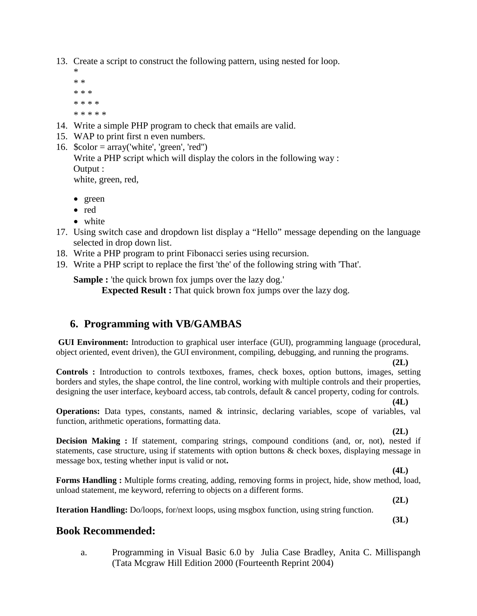13. Create a script to construct the following pattern, using nested for loop.

- \* \* \* \* \* \* \* \* \* \* \* \* \* \* \*
- 14. Write a simple PHP program to check that emails are valid.
- 15. WAP to print first n even numbers.
- 16.  $\text{foot} = \text{array}('white', 'green', 'red'')$ Write a PHP script which will display the colors in the following way : Output : white, green, red,
	- green
	- red
	- white
- 17. Using switch case and dropdown list display a "Hello" message depending on the language selected in drop down list.
- 18. Write a PHP program to print Fibonacci series using recursion.
- 19. Write a PHP script to replace the first 'the' of the following string with 'That'.

**Sample :** 'the quick brown fox jumps over the lazy dog.' **Expected Result :** That quick brown fox jumps over the lazy dog.

#### **6. Programming with VB/GAMBAS**

**GUI Environment:** Introduction to graphical user interface (GUI), programming language (procedural, object oriented, event driven), the GUI environment, compiling, debugging, and running the programs.

**(2L)**

**Controls :** Introduction to controls textboxes, frames, check boxes, option buttons, images, setting borders and styles, the shape control, the line control, working with multiple controls and their properties, designing the user interface, keyboard access, tab controls, default & cancel property, coding for controls.

**Operations:** Data types, constants, named & intrinsic, declaring variables, scope of variables, val function, arithmetic operations, formatting data.

**(2L)**

**(4L)**

**Decision Making :** If statement, comparing strings, compound conditions (and, or, not), nested if statements, case structure, using if statements with option buttons & check boxes, displaying message in message box, testing whether input is valid or not**.**

**Forms Handling :** Multiple forms creating, adding, removing forms in project, hide, show method, load, unload statement, me keyword, referring to objects on a different forms.

**(2L)**

**(3L)**

**(4L)**

**Iteration Handling:** Do/loops, for/next loops, using msgbox function, using string function.

#### **Book Recommended:**

a. Programming in Visual Basic 6.0 by Julia Case Bradley, Anita C. Millispangh (Tata Mcgraw Hill Edition 2000 (Fourteenth Reprint 2004)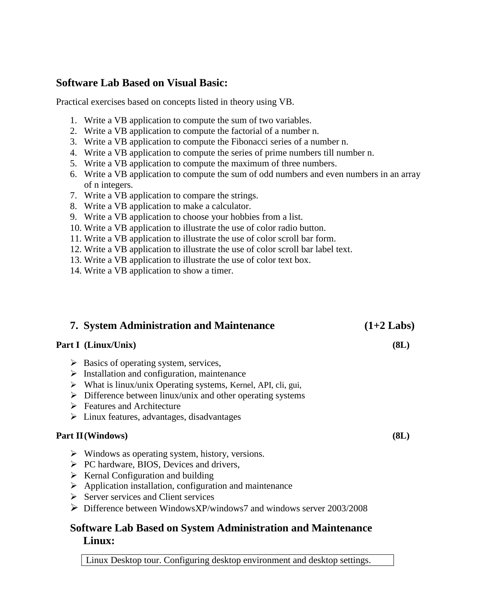# **Software Lab Based on Visual Basic:**

Practical exercises based on concepts listed in theory using VB.

- 1. Write a VB application to compute the sum of two variables.
- 2. Write a VB application to compute the factorial of a number n.
- 3. Write a VB application to compute the Fibonacci series of a number n.
- 4. Write a VB application to compute the series of prime numbers till number n.
- 5. Write a VB application to compute the maximum of three numbers.
- 6. Write a VB application to compute the sum of odd numbers and even numbers in an array of n integers.
- 7. Write a VB application to compare the strings.
- 8. Write a VB application to make a calculator.
- 9. Write a VB application to choose your hobbies from a list.
- 10. Write a VB application to illustrate the use of color radio button.
- 11. Write a VB application to illustrate the use of color scroll bar form.
- 12. Write a VB application to illustrate the use of color scroll bar label text.
- 13. Write a VB application to illustrate the use of color text box.
- 14. Write a VB application to show a timer.

| <b>7. System Administration and Maintenance</b>                               | $(1+2$ Labs) |
|-------------------------------------------------------------------------------|--------------|
| Part I (Linux/Unix)                                                           | (8L)         |
| $\triangleright$ Basics of operating system, services,                        |              |
| $\triangleright$ Installation and configuration, maintenance                  |              |
| $\triangleright$ What is linux/unix Operating systems, Kernel, API, cli, gui, |              |
| $\triangleright$ Difference between linux/unix and other operating systems    |              |
| $\triangleright$ Features and Architecture                                    |              |

 $\triangleright$  Linux features, advantages, disadvantages

#### **Part II(Windows) (8L)**

- $\triangleright$  Windows as operating system, history, versions.
- $\triangleright$  PC hardware, BIOS, Devices and drivers,
- $\triangleright$  Kernal Configuration and building
- $\triangleright$  Application installation, configuration and maintenance
- $\triangleright$  Server services and Client services
- $\triangleright$  Difference between WindowsXP/windows7 and windows server 2003/2008

# **Software Lab Based on System Administration and Maintenance Linux:**

Linux Desktop tour. Configuring desktop environment and desktop settings.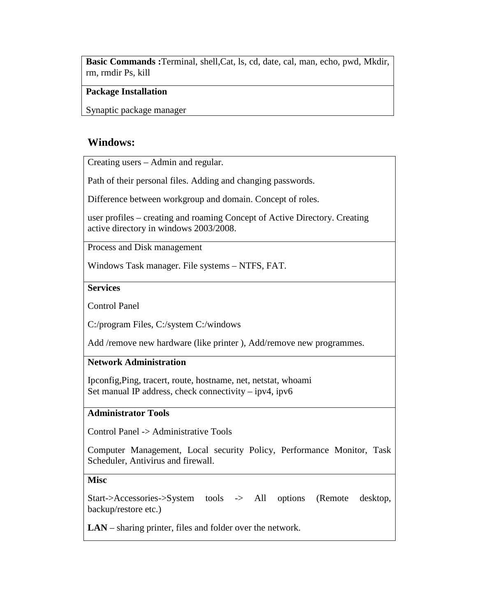**Basic Commands :**Terminal, shell,Cat, ls, cd, date, cal, man, echo, pwd, Mkdir, rm, rmdir Ps, kill

#### **Package Installation**

Synaptic package manager

# **Windows:**

Creating users – Admin and regular.

Path of their personal files. Adding and changing passwords.

Difference between workgroup and domain. Concept of roles.

user profiles – creating and roaming Concept of Active Directory. Creating active directory in windows 2003/2008.

Process and Disk management

Windows Task manager. File systems – NTFS, FAT.

#### **Services**

Control Panel

C:/program Files, C:/system C:/windows

Add /remove new hardware (like printer ), Add/remove new programmes.

#### **Network Administration**

Ipconfig,Ping, tracert, route, hostname, net, netstat, whoami Set manual IP address, check connectivity – ipv4, ipv6

#### **Administrator Tools**

Control Panel -> Administrative Tools

Computer Management, Local security Policy, Performance Monitor, Task Scheduler, Antivirus and firewall.

#### **Misc**

Start->Accessories->System tools -> All options (Remote desktop, backup/restore etc.)

**LAN** – sharing printer, files and folder over the network.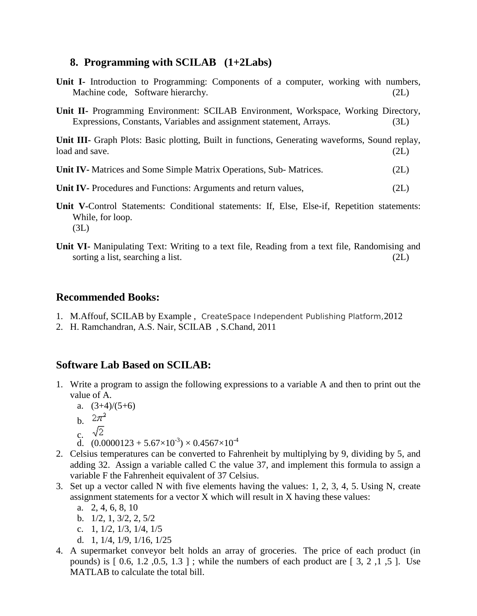## **8. Programming with SCILAB (1+2Labs)**

| <b>Unit I-</b> Introduction to Programming: Components of a computer, working with numbers,<br>Machine code, Software hierarchy.                           | (2L) |
|------------------------------------------------------------------------------------------------------------------------------------------------------------|------|
| Unit II- Programming Environment: SCILAB Environment, Workspace, Working Directory,<br>Expressions, Constants, Variables and assignment statement, Arrays. | (3L) |
| <b>Unit III</b> - Graph Plots: Basic plotting, Built in functions, Generating waveforms, Sound replay,<br>load and save.                                   | (2L) |
| <b>Unit IV-</b> Matrices and Some Simple Matrix Operations, Sub- Matrices.                                                                                 | (2L) |
| <b>Unit IV-</b> Procedures and Functions: Arguments and return values,                                                                                     | (2L) |
| Unit V-Control Statements: Conditional statements: If, Else, Else-if, Repetition statements:<br>While, for loop.                                           |      |

**Unit VI-** Manipulating Text: Writing to a text file, Reading from a text file, Randomising and sorting a list, searching a list. (2L)

#### **Recommended Books:**

 $(3L)$ 

- 1. M.Affouf, SCILAB by Example , CreateSpace Independent Publishing Platform,2012
- 2. H. Ramchandran, A.S. Nair, SCILAB , S.Chand, 2011

## **Software Lab Based on SCILAB:**

- 1. Write a program to assign the following expressions to a variable A and then to print out the value of A.
	- a.  $(3+4)/(5+6)$
	- b.  $2\pi^2$
	- c.  $\sqrt{2}$
	- d.  $(0.0000123 + 5.67 \times 10^{-3}) \times 0.4567 \times 10^{-4}$
- 2. Celsius temperatures can be converted to Fahrenheit by multiplying by 9, dividing by 5, and adding 32. Assign a variable called C the value 37, and implement this formula to assign a variable F the Fahrenheit equivalent of 37 Celsius.
- 3. Set up a vector called N with five elements having the values: 1, 2, 3, 4, 5. Using N, create assignment statements for a vector X which will result in X having these values:
	- a. 2, 4, 6, 8, 10
	- b. 1/2, 1, 3/2, 2, 5/2
	- c. 1, 1/2, 1/3, 1/4, 1/5
	- d. 1, 1/4, 1/9, 1/16, 1/25
- 4. A supermarket conveyor belt holds an array of groceries. The price of each product (in pounds) is  $[0.6, 1.2, 0.5, 1.3]$ ; while the numbers of each product are  $[3, 2, 1, 5]$ . Use MATLAB to calculate the total bill.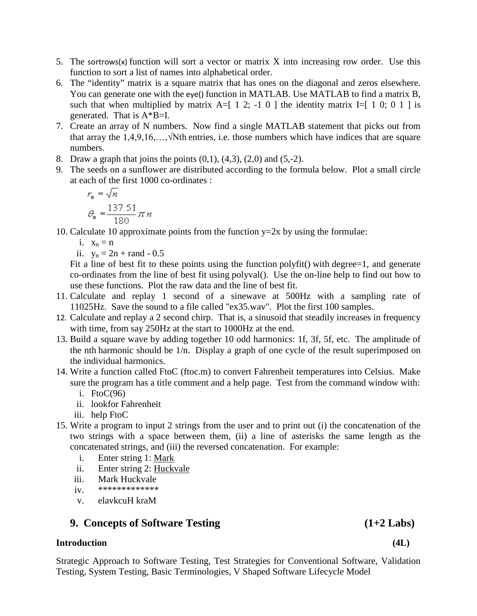- 5. The sortrows(x) function will sort a vector or matrix X into increasing row order. Use this function to sort a list of names into alphabetical order.
- 6. The "identity" matrix is a square matrix that has ones on the diagonal and zeros elsewhere. You can generate one with the eye() function in MATLAB. Use MATLAB to find a matrix B, such that when multiplied by matrix  $A=[1\ 2; -1\ 0]$  the identity matrix I=[ 1 0; 0 1 ] is generated. That is A\*B=I.
- 7. Create an array of N numbers. Now find a single MATLAB statement that picks out from that array the  $1,4,9,16,...$ ,  $\sqrt{N}$ th entries, i.e. those numbers which have indices that are square numbers.
- 8. Draw a graph that joins the points  $(0,1)$ ,  $(4,3)$ ,  $(2,0)$  and  $(5,-2)$ .
- 9. The seeds on a sunflower are distributed according to the formula below. Plot a small circle at each of the first 1000 co-ordinates :

$$
r_n = \sqrt{n}
$$

$$
\theta_n = \frac{137.51}{180} \pi n
$$

10. Calculate 10 approximate points from the function  $y=2x$  by using the formulae:

i.  $x_n = n$ 

ii.  $y_n = 2n + rand - 0.5$ 

Fit a line of best fit to these points using the function polyfit() with degree=1, and generate co-ordinates from the line of best fit using polyval(). Use the on-line help to find out how to use these functions. Plot the raw data and the line of best fit.

- 11. Calculate and replay 1 second of a sinewave at 500Hz with a sampling rate of 11025Hz. Save the sound to a file called "ex35.wav". Plot the first 100 samples.
- 12. Calculate and replay a 2 second chirp. That is, a sinusoid that steadily increases in frequency with time, from say 250Hz at the start to 1000Hz at the end.
- 13. Build a square wave by adding together 10 odd harmonics: 1f, 3f, 5f, etc. The amplitude of the nth harmonic should be 1/n. Display a graph of one cycle of the result superimposed on the individual harmonics.
- 14. Write a function called FtoC (ftoc.m) to convert Fahrenheit temperatures into Celsius. Make sure the program has a title comment and a help page. Test from the command window with:
	- i. Fto $C(96)$
	- ii. lookfor Fahrenheit
	- iii. help FtoC
- 15. Write a program to input 2 strings from the user and to print out (i) the concatenation of the two strings with a space between them, (ii) a line of asterisks the same length as the concatenated strings, and (iii) the reversed concatenation. For example:
	- i. Enter string 1: Mark
	- ii. Enter string 2: Huckvale
	- iii. Mark Huckvale
	- iv. \*\*\*\*\*\*\*\*\*\*\*\*\*
	- v. elavkcuH kraM

# **9. Concepts of Software Testing (1+2 Labs)**

#### **Introduction (4L)**

Strategic Approach to Software Testing, Test Strategies for Conventional Software, Validation Testing, System Testing, Basic Terminologies, V Shaped Software Lifecycle Model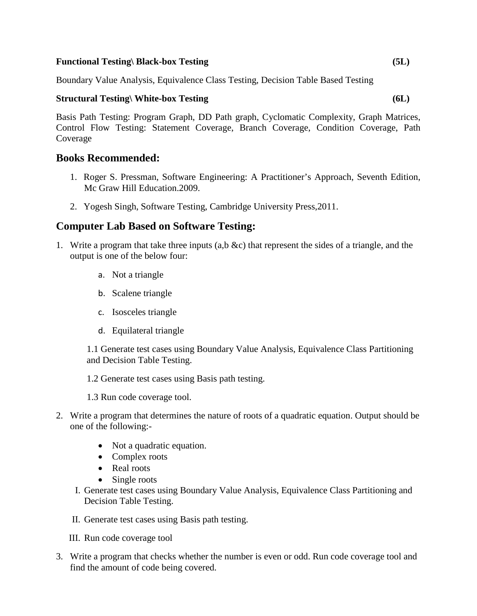#### **Functional Testing\ Black-box Testing (5L)**

Boundary Value Analysis, Equivalence Class Testing, Decision Table Based Testing

#### **Structural Testing\ White-box Testing (6L)**

Basis Path Testing: Program Graph, DD Path graph, Cyclomatic Complexity, Graph Matrices, Control Flow Testing: Statement Coverage, Branch Coverage, Condition Coverage, Path Coverage

#### **Books Recommended:**

- 1. Roger S. Pressman, Software Engineering: A Practitioner's Approach, Seventh Edition, Mc Graw Hill Education.2009.
- 2. Yogesh Singh, Software Testing, Cambridge University Press,2011.

#### **Computer Lab Based on Software Testing:**

- 1. Write a program that take three inputs (a,b &c) that represent the sides of a triangle, and the output is one of the below four:
	- a. Not a triangle
	- b. Scalene triangle
	- c. Isosceles triangle
	- d. Equilateral triangle

1.1 Generate test cases using Boundary Value Analysis, Equivalence Class Partitioning and Decision Table Testing.

1.2 Generate test cases using Basis path testing.

1.3 Run code coverage tool.

- 2. Write a program that determines the nature of roots of a quadratic equation. Output should be one of the following:-
	- Not a quadratic equation.
	- Complex roots
	- Real roots
	- Single roots
	- I. Generate test cases using Boundary Value Analysis, Equivalence Class Partitioning and Decision Table Testing.
	- II. Generate test cases using Basis path testing.
	- III. Run code coverage tool
- 3. Write a program that checks whether the number is even or odd. Run code coverage tool and find the amount of code being covered.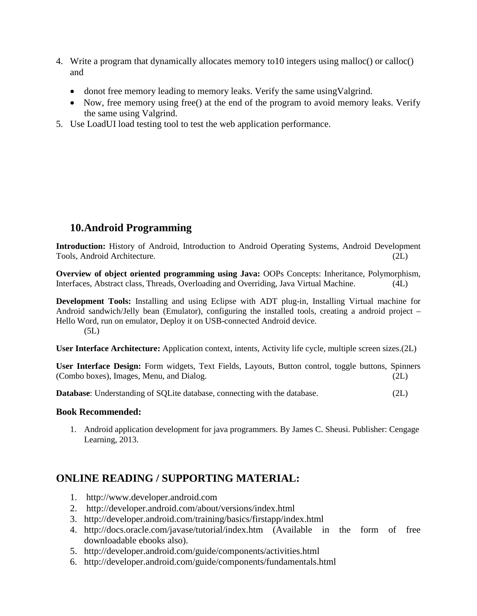- 4. Write a program that dynamically allocates memory to10 integers using malloc() or calloc() and
	- donot free memory leading to memory leaks. Verify the same using Valgrind.
	- Now, free memory using free() at the end of the program to avoid memory leaks. Verify the same using Valgrind.
- 5. Use LoadUI load testing tool to test the web application performance.

# **10.Android Programming**

**Introduction:** History of Android, Introduction to Android Operating Systems, Android Development Tools, Android Architecture. (2L)

**Overview of object oriented programming using Java:** OOPs Concepts: Inheritance, Polymorphism, Interfaces, Abstract class, Threads, Overloading and Overriding, Java Virtual Machine. (4L)

**Development Tools:** Installing and using Eclipse with ADT plug-in, Installing Virtual machine for Android sandwich/Jelly bean (Emulator), configuring the installed tools, creating a android project – Hello Word, run on emulator, Deploy it on USB-connected Android device.  $(5L)$ 

**User Interface Architecture:** Application context, intents, Activity life cycle, multiple screen sizes.(2L)

**User Interface Design:** Form widgets, Text Fields, Layouts, Button control, toggle buttons, Spinners (Combo boxes), Images, Menu, and Dialog. (2L)

**Database:** Understanding of SQLite database, connecting with the database. (2L)

#### **Book Recommended:**

1. Android application development for java programmers. By James C. Sheusi. Publisher: Cengage Learning, 2013.

# **ONLINE READING / SUPPORTING MATERIAL:**

- 1. http://www.developer.android.com
- 2. <http://developer.android.com/about/versions/index.html>
- 3. <http://developer.android.com/training/basics/firstapp/index.html>
- 4. <http://docs.oracle.com/javase/tutorial/index.htm> (Available in the form of free downloadable ebooks also).
- 5. <http://developer.android.com/guide/components/activities.html>
- 6. <http://developer.android.com/guide/components/fundamentals.html>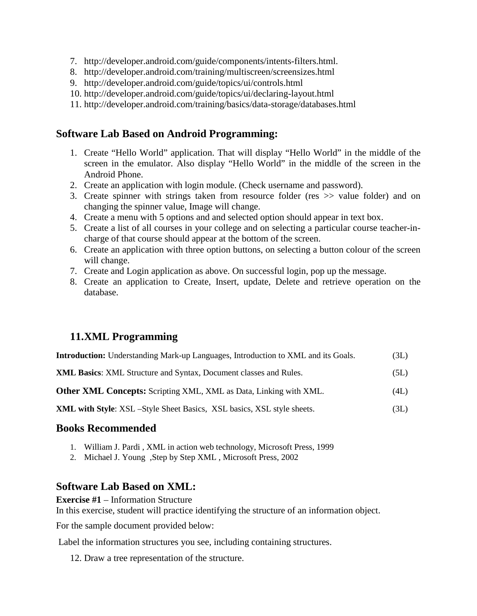- 7. [http://developer.android.com/guide/components/intents-filters.html.](http://developer.android.com/guide/components/intents-filters.html)
- 8. <http://developer.android.com/training/multiscreen/screensizes.html>
- 9. <http://developer.android.com/guide/topics/ui/controls.html>
- 10. <http://developer.android.com/guide/topics/ui/declaring-layout.html>
- 11. <http://developer.android.com/training/basics/data-storage/databases.html>

## **Software Lab Based on Android Programming:**

- 1. Create "Hello World" application. That will display "Hello World" in the middle of the screen in the emulator. Also display "Hello World" in the middle of the screen in the Android Phone.
- 2. Create an application with login module. (Check username and password).
- 3. Create spinner with strings taken from resource folder (res >> value folder) and on changing the spinner value, Image will change.
- 4. Create a menu with 5 options and and selected option should appear in text box.
- 5. Create a list of all courses in your college and on selecting a particular course teacher-incharge of that course should appear at the bottom of the screen.
- 6. Create an application with three option buttons, on selecting a button colour of the screen will change.
- 7. Create and Login application as above. On successful login, pop up the message.
- 8. Create an application to Create, Insert, update, Delete and retrieve operation on the database.

# **11.XML Programming**

| <b>Introduction:</b> Understanding Mark-up Languages, Introduction to XML and its Goals. | (3L) |
|------------------------------------------------------------------------------------------|------|
|------------------------------------------------------------------------------------------|------|

**XML Basics**: XML Structure and Syntax, Document classes and Rules. (5L)

**Other XML Concepts:** Scripting XML, XML as Data, Linking with XML. (4L)

**XML with Style**: XSL –Style Sheet Basics, XSL basics, XSL style sheets. (3L)

#### **Books Recommended**

- 1. William J. Pardi , XML in action web technology, Microsoft Press, 1999
- 2. Michael J. Young ,Step by Step XML , Microsoft Press, 2002

#### **Software Lab Based on XML:**

**Exercise #1** – Information Structure

In this exercise, student will practice identifying the structure of an information object.

For the sample document provided below:

Label the information structures you see, including containing structures.

12. Draw a tree representation of the structure.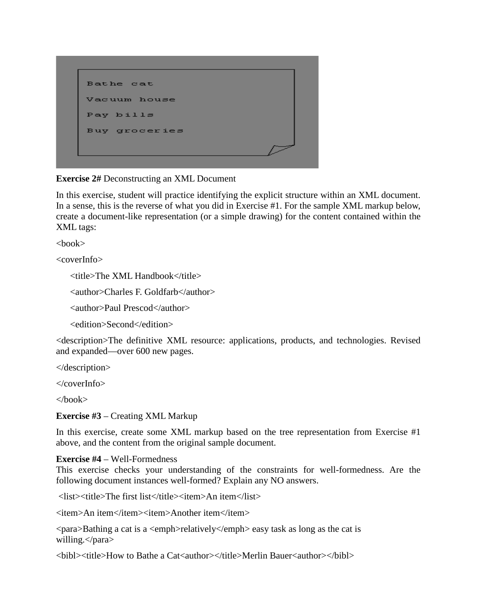Bathe cat Vacuum house Pay bills Buy groceries

#### **Exercise 2#** Deconstructing an XML Document

In this exercise, student will practice identifying the explicit structure within an XML document. In a sense, this is the reverse of what you did in Exercise #1. For the sample XML markup below, create a document-like representation (or a simple drawing) for the content contained within the XML tags:

<book>

<coverInfo>

<title>The XML Handbook</title>

<author>Charles F. Goldfarb</author>

<author>Paul Prescod</author>

<edition>Second</edition>

<description>The definitive XML resource: applications, products, and technologies. Revised and expanded—over 600 new pages.

</description>

</coverInfo>

 $<$ /book $>$ 

**Exercise #3** – Creating XML Markup

In this exercise, create some XML markup based on the tree representation from Exercise #1 above, and the content from the original sample document.

#### **Exercise #4** – Well-Formedness

This exercise checks your understanding of the constraints for well-formedness. Are the following document instances well-formed? Explain any NO answers.

<list><title>The first list</title><item>An item</list>

<item>An item</item><item>Another item</item>

 $\alpha$   $\beta$ ara $\beta$ Bathing a cat is a  $\alpha$   $\beta$   $\alpha$   $\beta$   $\alpha$   $\beta$   $\beta$   $\alpha$   $\beta$   $\gamma$   $\beta$   $\alpha$   $\beta$   $\gamma$   $\beta$   $\alpha$   $\beta$   $\alpha$   $\beta$   $\alpha$   $\beta$   $\alpha$   $\beta$   $\gamma$ willing.</para>

 $\langle$ bibl> $\langle$ title>How to Bathe a Cat $\langle$ author $\rangle$  $\langle$ /title>Merlin Bauer $\langle$ author $\rangle$  $\langle$ /bibl $\rangle$